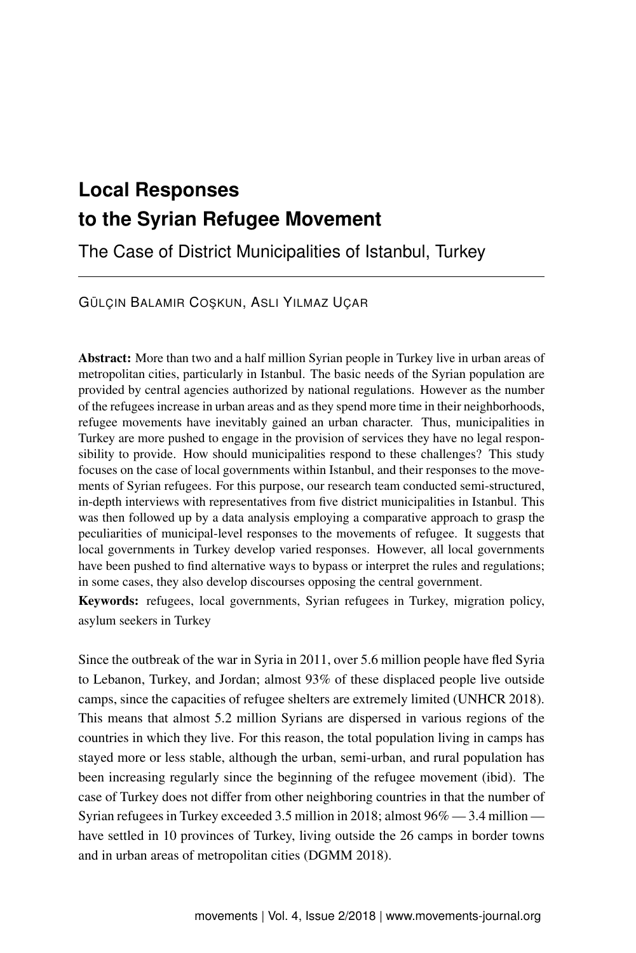# **Local Responses to the Syrian Refugee Movement**

The Case of District Municipalities of Istanbul, Turkey

GÜLÇIN BALAMIR COSKUN, ASLI YILMAZ UÇAR

Abstract: More than two and a half million Syrian people in Turkey live in urban areas of metropolitan cities, particularly in Istanbul. The basic needs of the Syrian population are provided by central agencies authorized by national regulations. However as the number of the refugees increase in urban areas and as they spend more time in their neighborhoods, refugee movements have inevitably gained an urban character. Thus, municipalities in Turkey are more pushed to engage in the provision of services they have no legal responsibility to provide. How should municipalities respond to these challenges? This study focuses on the case of local governments within Istanbul, and their responses to the movements of Syrian refugees. For this purpose, our research team conducted semi-structured, in-depth interviews with representatives from five district municipalities in Istanbul. This was then followed up by a data analysis employing a comparative approach to grasp the peculiarities of municipal-level responses to the movements of refugee. It suggests that local governments in Turkey develop varied responses. However, all local governments have been pushed to find alternative ways to bypass or interpret the rules and regulations; in some cases, they also develop discourses opposing the central government.

Keywords: refugees, local governments, Syrian refugees in Turkey, migration policy, asylum seekers in Turkey

Since the outbreak of the war in Syria in 2011, over 5.6 million people have fled Syria to Lebanon, Turkey, and Jordan; almost 93% of these displaced people live outside camps, since the capacities of refugee shelters are extremely limited (UNHCR 2018). This means that almost 5.2 million Syrians are dispersed in various regions of the countries in which they live. For this reason, the total population living in camps has stayed more or less stable, although the urban, semi-urban, and rural population has been increasing regularly since the beginning of the refugee movement (ibid). The case of Turkey does not differ from other neighboring countries in that the number of Syrian refugees in Turkey exceeded 3.5 million in 2018; almost 96% — 3.4 million have settled in 10 provinces of Turkey, living outside the 26 camps in border towns and in urban areas of metropolitan cities (DGMM 2018).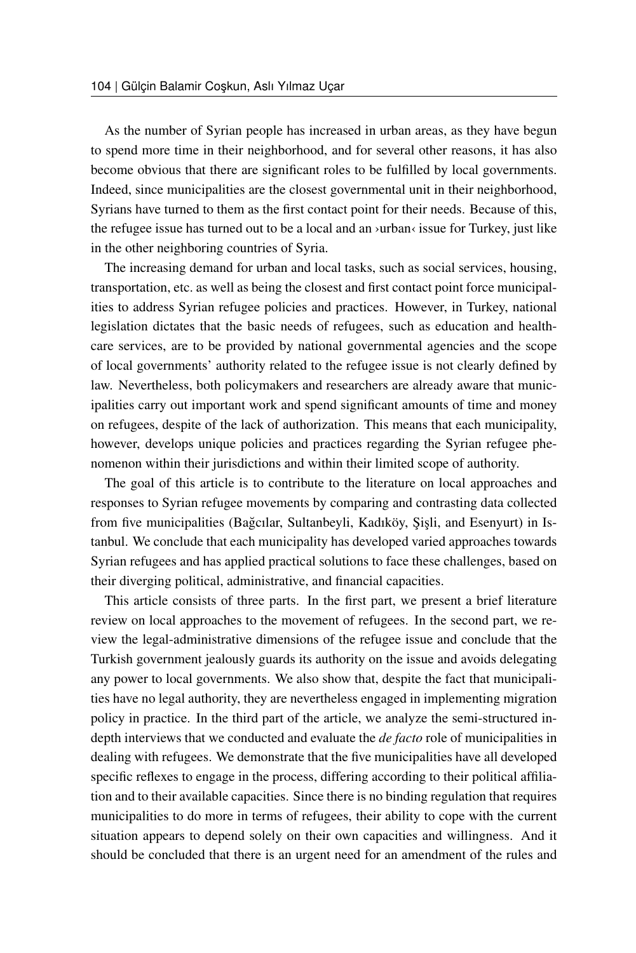As the number of Syrian people has increased in urban areas, as they have begun to spend more time in their neighborhood, and for several other reasons, it has also become obvious that there are significant roles to be fulfilled by local governments. Indeed, since municipalities are the closest governmental unit in their neighborhood, Syrians have turned to them as the first contact point for their needs. Because of this, the refugee issue has turned out to be a local and an ›urban‹ issue for Turkey, just like in the other neighboring countries of Syria.

The increasing demand for urban and local tasks, such as social services, housing, transportation, etc. as well as being the closest and first contact point force municipalities to address Syrian refugee policies and practices. However, in Turkey, national legislation dictates that the basic needs of refugees, such as education and healthcare services, are to be provided by national governmental agencies and the scope of local governments' authority related to the refugee issue is not clearly defined by law. Nevertheless, both policymakers and researchers are already aware that municipalities carry out important work and spend significant amounts of time and money on refugees, despite of the lack of authorization. This means that each municipality, however, develops unique policies and practices regarding the Syrian refugee phenomenon within their jurisdictions and within their limited scope of authority.

The goal of this article is to contribute to the literature on local approaches and responses to Syrian refugee movements by comparing and contrasting data collected from five municipalities (Bağcılar, Sultanbeyli, Kadıköy, Şişli, and Esenyurt) in Istanbul. We conclude that each municipality has developed varied approaches towards Syrian refugees and has applied practical solutions to face these challenges, based on their diverging political, administrative, and financial capacities.

This article consists of three parts. In the first part, we present a brief literature review on local approaches to the movement of refugees. In the second part, we review the legal-administrative dimensions of the refugee issue and conclude that the Turkish government jealously guards its authority on the issue and avoids delegating any power to local governments. We also show that, despite the fact that municipalities have no legal authority, they are nevertheless engaged in implementing migration policy in practice. In the third part of the article, we analyze the semi-structured indepth interviews that we conducted and evaluate the *de facto* role of municipalities in dealing with refugees. We demonstrate that the five municipalities have all developed specific reflexes to engage in the process, differing according to their political affiliation and to their available capacities. Since there is no binding regulation that requires municipalities to do more in terms of refugees, their ability to cope with the current situation appears to depend solely on their own capacities and willingness. And it should be concluded that there is an urgent need for an amendment of the rules and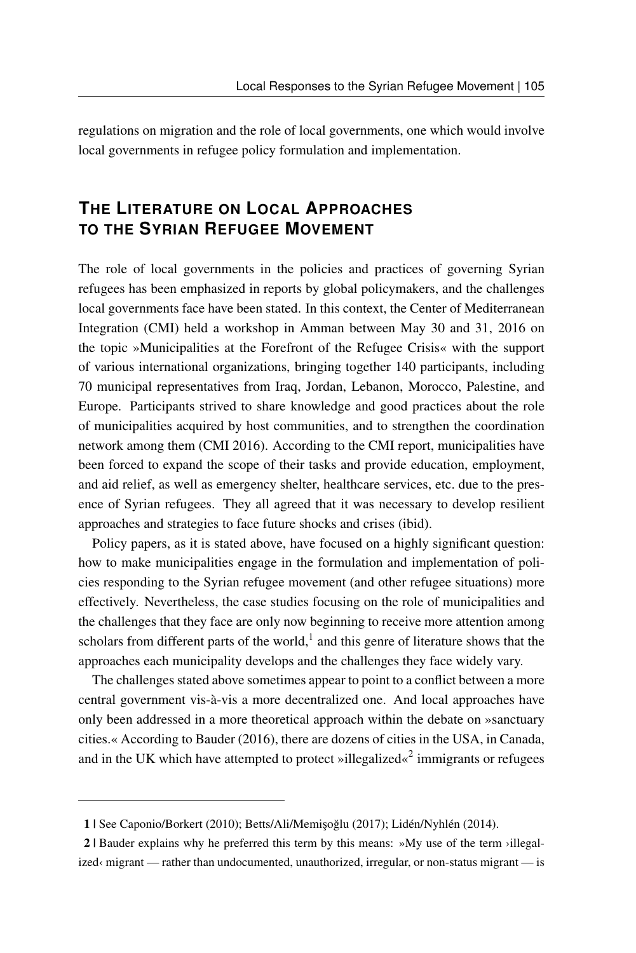regulations on migration and the role of local governments, one which would involve local governments in refugee policy formulation and implementation.

## **THE LITERATURE ON LOCAL APPROACHES TO THE SYRIAN REFUGEE MOVEMENT**

The role of local governments in the policies and practices of governing Syrian refugees has been emphasized in reports by global policymakers, and the challenges local governments face have been stated. In this context, the Center of Mediterranean Integration (CMI) held a workshop in Amman between May 30 and 31, 2016 on the topic »Municipalities at the Forefront of the Refugee Crisis« with the support of various international organizations, bringing together 140 participants, including 70 municipal representatives from Iraq, Jordan, Lebanon, Morocco, Palestine, and Europe. Participants strived to share knowledge and good practices about the role of municipalities acquired by host communities, and to strengthen the coordination network among them (CMI 2016). According to the CMI report, municipalities have been forced to expand the scope of their tasks and provide education, employment, and aid relief, as well as emergency shelter, healthcare services, etc. due to the presence of Syrian refugees. They all agreed that it was necessary to develop resilient approaches and strategies to face future shocks and crises (ibid).

Policy papers, as it is stated above, have focused on a highly significant question: how to make municipalities engage in the formulation and implementation of policies responding to the Syrian refugee movement (and other refugee situations) more effectively. Nevertheless, the case studies focusing on the role of municipalities and the challenges that they face are only now beginning to receive more attention among scholars from different parts of the world, $<sup>1</sup>$  $<sup>1</sup>$  $<sup>1</sup>$  and this genre of literature shows that the</sup> approaches each municipality develops and the challenges they face widely vary.

The challenges stated above sometimes appear to point to a conflict between a more central government vis-à-vis a more decentralized one. And local approaches have only been addressed in a more theoretical approach within the debate on »sanctuary cities.« According to Bauder (2016), there are dozens of cities in the USA, in Canada, and in the UK which have attempted to protect »illegalized« $2$  immigrants or refugees

<span id="page-2-1"></span><span id="page-2-0"></span><sup>1 |</sup> See Caponio/Borkert (2010); Betts/Ali/Memi¸soglu (2017); Lidén/Nyhlén (2014). ˘

<sup>2 |</sup> Bauder explains why he preferred this term by this means: »My use of the term ›illegalized‹ migrant — rather than undocumented, unauthorized, irregular, or non-status migrant — is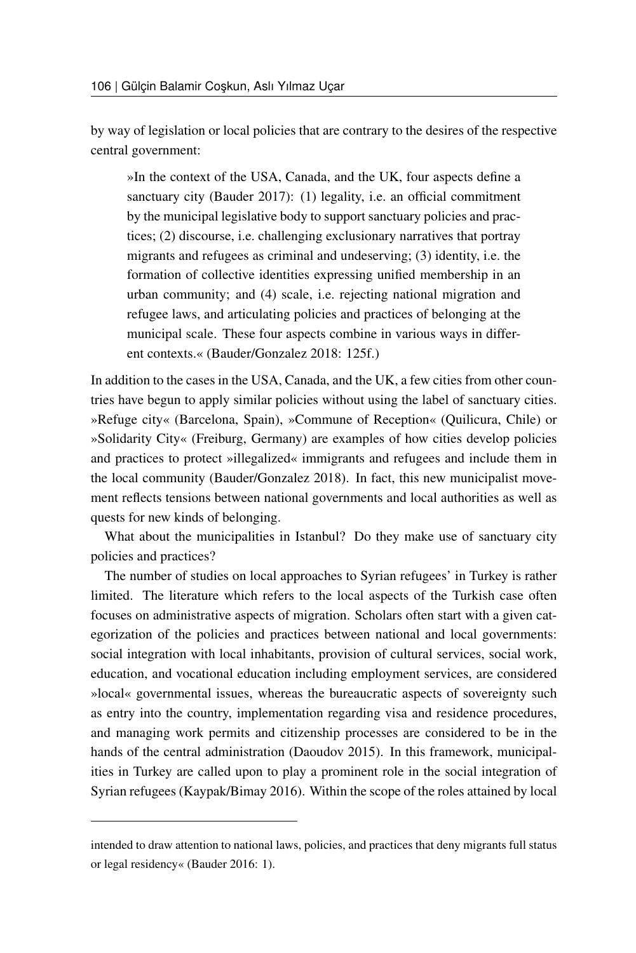by way of legislation or local policies that are contrary to the desires of the respective central government:

»In the context of the USA, Canada, and the UK, four aspects define a sanctuary city (Bauder 2017): (1) legality, i.e. an official commitment by the municipal legislative body to support sanctuary policies and practices; (2) discourse, i.e. challenging exclusionary narratives that portray migrants and refugees as criminal and undeserving; (3) identity, i.e. the formation of collective identities expressing unified membership in an urban community; and (4) scale, i.e. rejecting national migration and refugee laws, and articulating policies and practices of belonging at the municipal scale. These four aspects combine in various ways in different contexts.« (Bauder/Gonzalez 2018: 125f.)

In addition to the cases in the USA, Canada, and the UK, a few cities from other countries have begun to apply similar policies without using the label of sanctuary cities. »Refuge city« (Barcelona, Spain), »Commune of Reception« (Quilicura, Chile) or »Solidarity City« (Freiburg, Germany) are examples of how cities develop policies and practices to protect »illegalized« immigrants and refugees and include them in the local community (Bauder/Gonzalez 2018). In fact, this new municipalist movement reflects tensions between national governments and local authorities as well as quests for new kinds of belonging.

What about the municipalities in Istanbul? Do they make use of sanctuary city policies and practices?

The number of studies on local approaches to Syrian refugees' in Turkey is rather limited. The literature which refers to the local aspects of the Turkish case often focuses on administrative aspects of migration. Scholars often start with a given categorization of the policies and practices between national and local governments: social integration with local inhabitants, provision of cultural services, social work, education, and vocational education including employment services, are considered »local« governmental issues, whereas the bureaucratic aspects of sovereignty such as entry into the country, implementation regarding visa and residence procedures, and managing work permits and citizenship processes are considered to be in the hands of the central administration (Daoudov 2015). In this framework, municipalities in Turkey are called upon to play a prominent role in the social integration of Syrian refugees (Kaypak/Bimay 2016). Within the scope of the roles attained by local

intended to draw attention to national laws, policies, and practices that deny migrants full status or legal residency« (Bauder 2016: 1).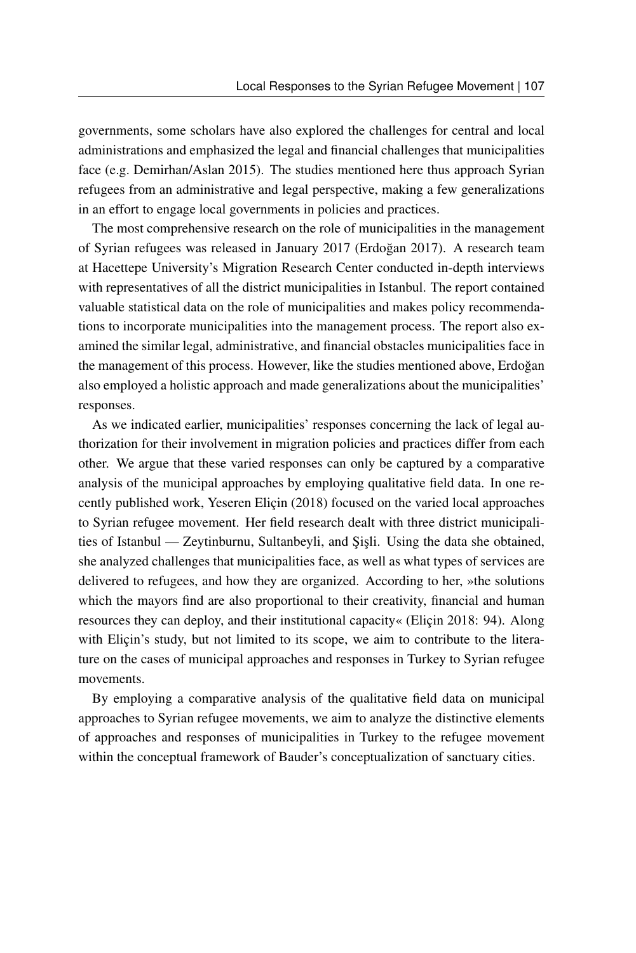governments, some scholars have also explored the challenges for central and local administrations and emphasized the legal and financial challenges that municipalities face (e.g. Demirhan/Aslan 2015). The studies mentioned here thus approach Syrian refugees from an administrative and legal perspective, making a few generalizations in an effort to engage local governments in policies and practices.

The most comprehensive research on the role of municipalities in the management of Syrian refugees was released in January 2017 (Erdogan 2017). A research team ˘ at Hacettepe University's Migration Research Center conducted in-depth interviews with representatives of all the district municipalities in Istanbul. The report contained valuable statistical data on the role of municipalities and makes policy recommendations to incorporate municipalities into the management process. The report also examined the similar legal, administrative, and financial obstacles municipalities face in the management of this process. However, like the studies mentioned above, Erdoğan also employed a holistic approach and made generalizations about the municipalities' responses.

As we indicated earlier, municipalities' responses concerning the lack of legal authorization for their involvement in migration policies and practices differ from each other. We argue that these varied responses can only be captured by a comparative analysis of the municipal approaches by employing qualitative field data. In one recently published work, Yeseren Eliçin (2018) focused on the varied local approaches to Syrian refugee movement. Her field research dealt with three district municipalities of Istanbul — Zeytinburnu, Sultanbeyli, and Sişli. Using the data she obtained, she analyzed challenges that municipalities face, as well as what types of services are delivered to refugees, and how they are organized. According to her, »the solutions which the mayors find are also proportional to their creativity, financial and human resources they can deploy, and their institutional capacity« (Eliçin 2018: 94). Along with Eliçin's study, but not limited to its scope, we aim to contribute to the literature on the cases of municipal approaches and responses in Turkey to Syrian refugee movements.

By employing a comparative analysis of the qualitative field data on municipal approaches to Syrian refugee movements, we aim to analyze the distinctive elements of approaches and responses of municipalities in Turkey to the refugee movement within the conceptual framework of Bauder's conceptualization of sanctuary cities.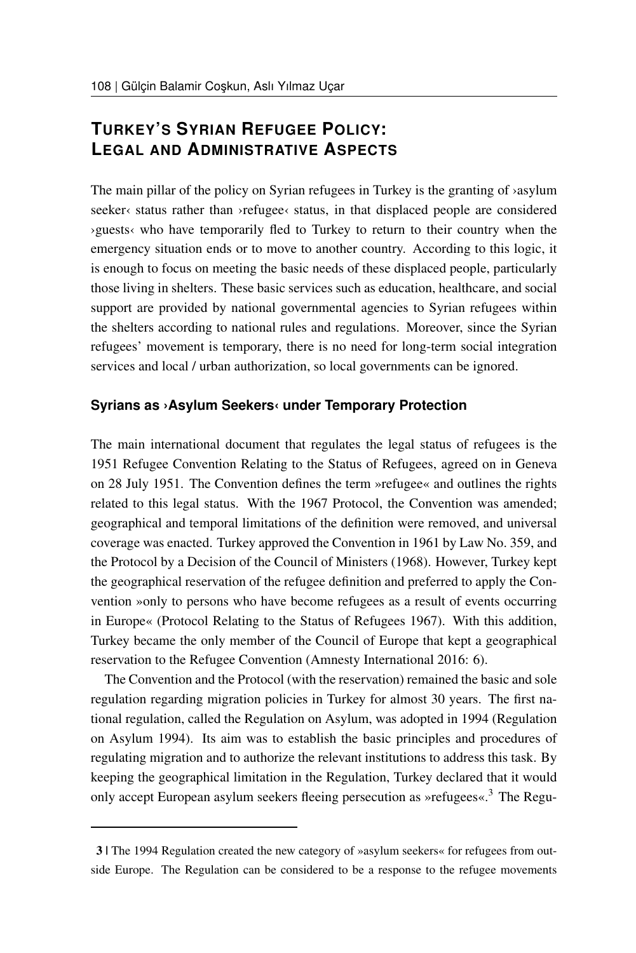## **TURKEY'S SYRIAN REFUGEE POLICY: LEGAL AND ADMINISTRATIVE ASPECTS**

The main pillar of the policy on Syrian refugees in Turkey is the granting of  $\alpha$ asylum seeker $\langle$  status rather than  $\rangle$ refugee $\langle$  status, in that displaced people are considered ›guests‹ who have temporarily fled to Turkey to return to their country when the emergency situation ends or to move to another country. According to this logic, it is enough to focus on meeting the basic needs of these displaced people, particularly those living in shelters. These basic services such as education, healthcare, and social support are provided by national governmental agencies to Syrian refugees within the shelters according to national rules and regulations. Moreover, since the Syrian refugees' movement is temporary, there is no need for long-term social integration services and local / urban authorization, so local governments can be ignored.

#### **Syrians as ›Asylum Seekers‹ under Temporary Protection**

The main international document that regulates the legal status of refugees is the 1951 Refugee Convention Relating to the Status of Refugees, agreed on in Geneva on 28 July 1951. The Convention defines the term »refugee« and outlines the rights related to this legal status. With the 1967 Protocol, the Convention was amended; geographical and temporal limitations of the definition were removed, and universal coverage was enacted. Turkey approved the Convention in 1961 by Law No. 359, and the Protocol by a Decision of the Council of Ministers (1968). However, Turkey kept the geographical reservation of the refugee definition and preferred to apply the Convention »only to persons who have become refugees as a result of events occurring in Europe« (Protocol Relating to the Status of Refugees 1967). With this addition, Turkey became the only member of the Council of Europe that kept a geographical reservation to the Refugee Convention (Amnesty International 2016: 6).

The Convention and the Protocol (with the reservation) remained the basic and sole regulation regarding migration policies in Turkey for almost 30 years. The first national regulation, called the Regulation on Asylum, was adopted in 1994 (Regulation on Asylum 1994). Its aim was to establish the basic principles and procedures of regulating migration and to authorize the relevant institutions to address this task. By keeping the geographical limitation in the Regulation, Turkey declared that it would only accept European asylum seekers fleeing persecution as »refugees«.<sup>[3](#page-5-0)</sup> The Regu-

<span id="page-5-0"></span><sup>3 |</sup> The 1994 Regulation created the new category of »asylum seekers« for refugees from outside Europe. The Regulation can be considered to be a response to the refugee movements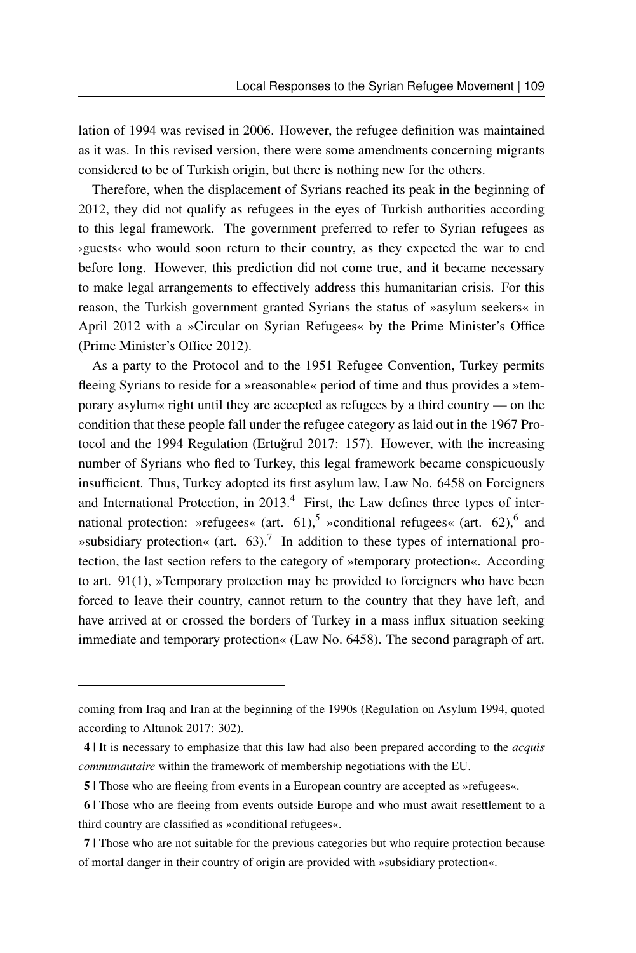lation of 1994 was revised in 2006. However, the refugee definition was maintained as it was. In this revised version, there were some amendments concerning migrants considered to be of Turkish origin, but there is nothing new for the others.

Therefore, when the displacement of Syrians reached its peak in the beginning of 2012, they did not qualify as refugees in the eyes of Turkish authorities according to this legal framework. The government preferred to refer to Syrian refugees as ›guests‹ who would soon return to their country, as they expected the war to end before long. However, this prediction did not come true, and it became necessary to make legal arrangements to effectively address this humanitarian crisis. For this reason, the Turkish government granted Syrians the status of »asylum seekers« in April 2012 with a »Circular on Syrian Refugees« by the Prime Minister's Office (Prime Minister's Office 2012).

As a party to the Protocol and to the 1951 Refugee Convention, Turkey permits fleeing Syrians to reside for a »reasonable« period of time and thus provides a »temporary asylum« right until they are accepted as refugees by a third country — on the condition that these people fall under the refugee category as laid out in the 1967 Protocol and the 1994 Regulation (Ertuğrul 2017: 157). However, with the increasing number of Syrians who fled to Turkey, this legal framework became conspicuously insufficient. Thus, Turkey adopted its first asylum law, Law No. 6458 on Foreigners and International Protection, in  $2013<sup>4</sup>$  $2013<sup>4</sup>$  $2013<sup>4</sup>$  First, the Law defines three types of inter-national protection: »refugees« (art. 61),<sup>[5](#page-6-1)</sup> »conditional refugees« (art. [6](#page-6-2)2),<sup>6</sup> and »subsidiary protection« (art.  $63$ ).<sup>[7](#page-6-3)</sup> In addition to these types of international protection, the last section refers to the category of »temporary protection«. According to art. 91(1), »Temporary protection may be provided to foreigners who have been forced to leave their country, cannot return to the country that they have left, and have arrived at or crossed the borders of Turkey in a mass influx situation seeking immediate and temporary protection« (Law No. 6458). The second paragraph of art.

coming from Iraq and Iran at the beginning of the 1990s (Regulation on Asylum 1994, quoted according to Altunok 2017: 302).

<span id="page-6-0"></span><sup>4 |</sup> It is necessary to emphasize that this law had also been prepared according to the *acquis communautaire* within the framework of membership negotiations with the EU.

<span id="page-6-2"></span><span id="page-6-1"></span><sup>5 |</sup> Those who are fleeing from events in a European country are accepted as »refugees«.

<sup>6 |</sup> Those who are fleeing from events outside Europe and who must await resettlement to a third country are classified as »conditional refugees«.

<span id="page-6-3"></span><sup>7 |</sup> Those who are not suitable for the previous categories but who require protection because of mortal danger in their country of origin are provided with »subsidiary protection«.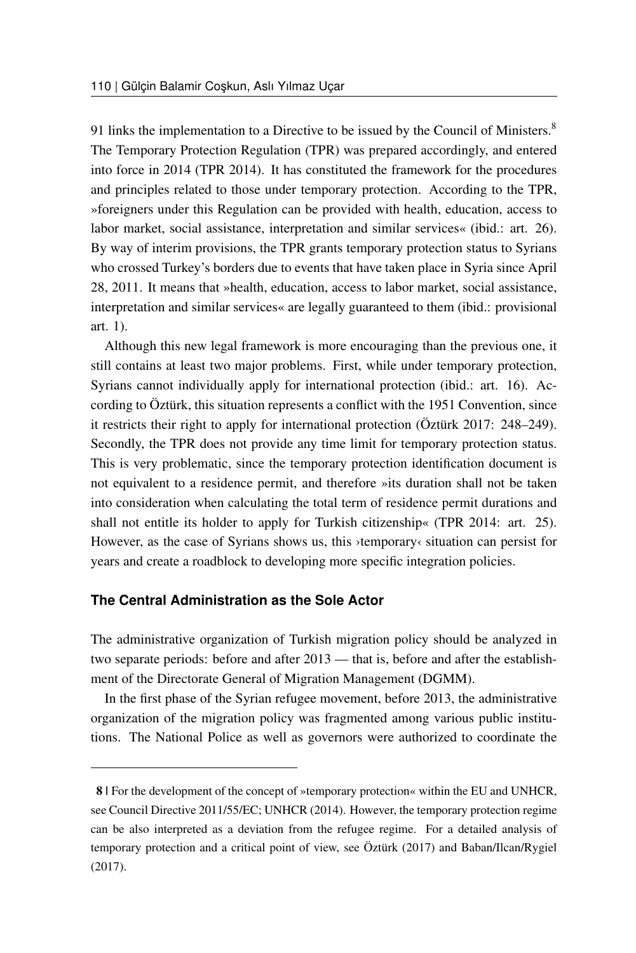91 links the implementation to a Directive to be issued by the Council of Ministers.<sup>[8](#page-7-0)</sup> The Temporary Protection Regulation (TPR) was prepared accordingly, and entered into force in 2014 (TPR 2014). It has constituted the framework for the procedures and principles related to those under temporary protection. According to the TPR, »foreigners under this Regulation can be provided with health, education, access to labor market, social assistance, interpretation and similar services« (ibid.: art. 26). By way of interim provisions, the TPR grants temporary protection status to Syrians who crossed Turkey's borders due to events that have taken place in Syria since April 28, 2011. It means that »health, education, access to labor market, social assistance, interpretation and similar services« are legally guaranteed to them (ibid.: provisional art. 1).

Although this new legal framework is more encouraging than the previous one, it still contains at least two major problems. First, while under temporary protection, Syrians cannot individually apply for international protection (ibid.: art. 16). According to Öztürk, this situation represents a conflict with the 1951 Convention, since it restricts their right to apply for international protection (Öztürk 2017: 248–249). Secondly, the TPR does not provide any time limit for temporary protection status. This is very problematic, since the temporary protection identification document is not equivalent to a residence permit, and therefore »its duration shall not be taken into consideration when calculating the total term of residence permit durations and shall not entitle its holder to apply for Turkish citizenship« (TPR 2014: art. 25). However, as the case of Syrians shows us, this ›temporary‹ situation can persist for years and create a roadblock to developing more specific integration policies.

### **The Central Administration as the Sole Actor**

The administrative organization of Turkish migration policy should be analyzed in two separate periods: before and after 2013 — that is, before and after the establishment of the Directorate General of Migration Management (DGMM).

In the first phase of the Syrian refugee movement, before 2013, the administrative organization of the migration policy was fragmented among various public institutions. The National Police as well as governors were authorized to coordinate the

<span id="page-7-0"></span><sup>8 |</sup> For the development of the concept of »temporary protection« within the EU and UNHCR, see Council Directive 2011/55/EC; UNHCR (2014). However, the temporary protection regime can be also interpreted as a deviation from the refugee regime. For a detailed analysis of temporary protection and a critical point of view, see Öztürk (2017) and Baban/Ilcan/Rygiel (2017).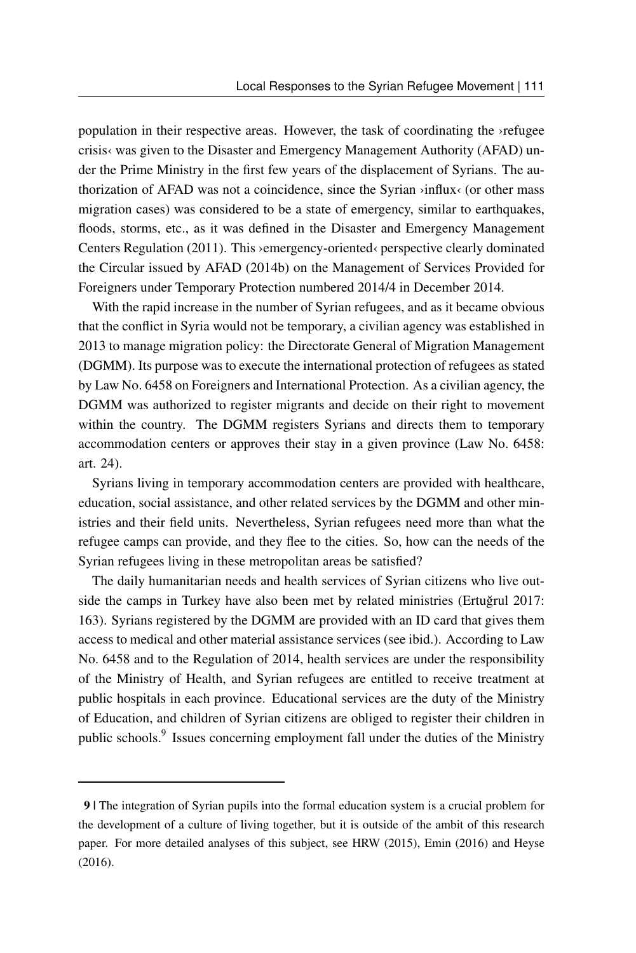population in their respective areas. However, the task of coordinating the ›refugee crisis‹ was given to the Disaster and Emergency Management Authority (AFAD) under the Prime Ministry in the first few years of the displacement of Syrians. The authorization of AFAD was not a coincidence, since the Syrian ›influx‹ (or other mass migration cases) was considered to be a state of emergency, similar to earthquakes, floods, storms, etc., as it was defined in the Disaster and Emergency Management Centers Regulation (2011). This ›emergency-oriented‹ perspective clearly dominated the Circular issued by AFAD (2014b) on the Management of Services Provided for Foreigners under Temporary Protection numbered 2014/4 in December 2014.

With the rapid increase in the number of Syrian refugees, and as it became obvious that the conflict in Syria would not be temporary, a civilian agency was established in 2013 to manage migration policy: the Directorate General of Migration Management (DGMM). Its purpose was to execute the international protection of refugees as stated by Law No. 6458 on Foreigners and International Protection. As a civilian agency, the DGMM was authorized to register migrants and decide on their right to movement within the country. The DGMM registers Syrians and directs them to temporary accommodation centers or approves their stay in a given province (Law No. 6458: art. 24).

Syrians living in temporary accommodation centers are provided with healthcare, education, social assistance, and other related services by the DGMM and other ministries and their field units. Nevertheless, Syrian refugees need more than what the refugee camps can provide, and they flee to the cities. So, how can the needs of the Syrian refugees living in these metropolitan areas be satisfied?

The daily humanitarian needs and health services of Syrian citizens who live outside the camps in Turkey have also been met by related ministries (Ertuğrul 2017: 163). Syrians registered by the DGMM are provided with an ID card that gives them access to medical and other material assistance services (see ibid.). According to Law No. 6458 and to the Regulation of 2014, health services are under the responsibility of the Ministry of Health, and Syrian refugees are entitled to receive treatment at public hospitals in each province. Educational services are the duty of the Ministry of Education, and children of Syrian citizens are obliged to register their children in public schools.<sup>[9](#page-8-0)</sup> Issues concerning employment fall under the duties of the Ministry

<span id="page-8-0"></span><sup>9 |</sup> The integration of Syrian pupils into the formal education system is a crucial problem for the development of a culture of living together, but it is outside of the ambit of this research paper. For more detailed analyses of this subject, see HRW (2015), Emin (2016) and Heyse (2016).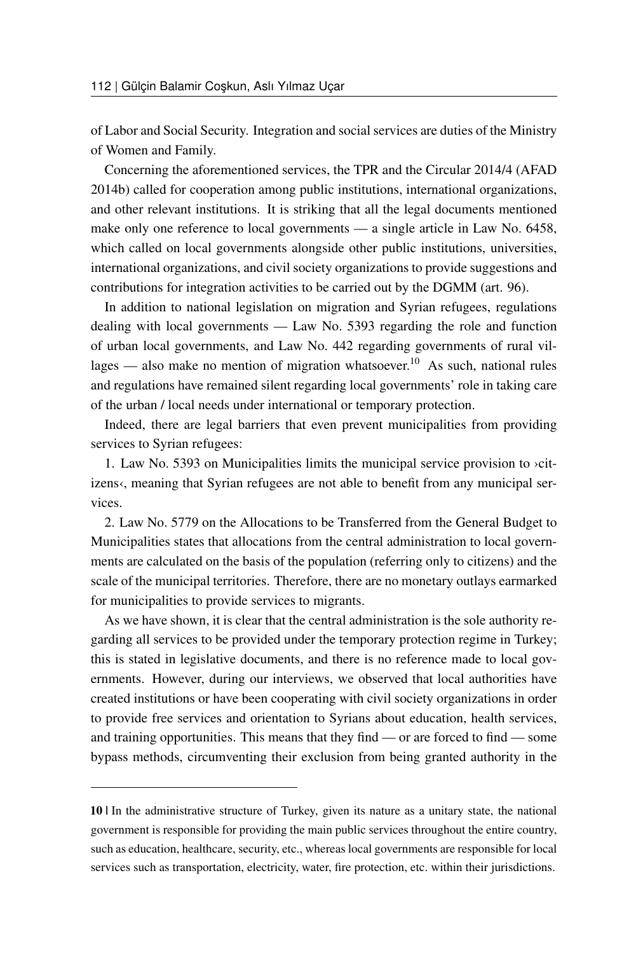of Labor and Social Security. Integration and social services are duties of the Ministry of Women and Family.

Concerning the aforementioned services, the TPR and the Circular 2014/4 (AFAD 2014b) called for cooperation among public institutions, international organizations, and other relevant institutions. It is striking that all the legal documents mentioned make only one reference to local governments — a single article in Law No. 6458, which called on local governments alongside other public institutions, universities, international organizations, and civil society organizations to provide suggestions and contributions for integration activities to be carried out by the DGMM (art. 96).

In addition to national legislation on migration and Syrian refugees, regulations dealing with local governments — Law No. 5393 regarding the role and function of urban local governments, and Law No. 442 regarding governments of rural vil-lages — also make no mention of migration whatsoever.<sup>[10](#page-9-0)</sup> As such, national rules and regulations have remained silent regarding local governments' role in taking care of the urban / local needs under international or temporary protection.

Indeed, there are legal barriers that even prevent municipalities from providing services to Syrian refugees:

1. Law No. 5393 on Municipalities limits the municipal service provision to ›citizens«, meaning that Syrian refugees are not able to benefit from any municipal services.

2. Law No. 5779 on the Allocations to be Transferred from the General Budget to Municipalities states that allocations from the central administration to local governments are calculated on the basis of the population (referring only to citizens) and the scale of the municipal territories. Therefore, there are no monetary outlays earmarked for municipalities to provide services to migrants.

As we have shown, it is clear that the central administration is the sole authority regarding all services to be provided under the temporary protection regime in Turkey; this is stated in legislative documents, and there is no reference made to local governments. However, during our interviews, we observed that local authorities have created institutions or have been cooperating with civil society organizations in order to provide free services and orientation to Syrians about education, health services, and training opportunities. This means that they find — or are forced to find — some bypass methods, circumventing their exclusion from being granted authority in the

<span id="page-9-0"></span><sup>10 |</sup> In the administrative structure of Turkey, given its nature as a unitary state, the national government is responsible for providing the main public services throughout the entire country, such as education, healthcare, security, etc., whereas local governments are responsible for local services such as transportation, electricity, water, fire protection, etc. within their jurisdictions.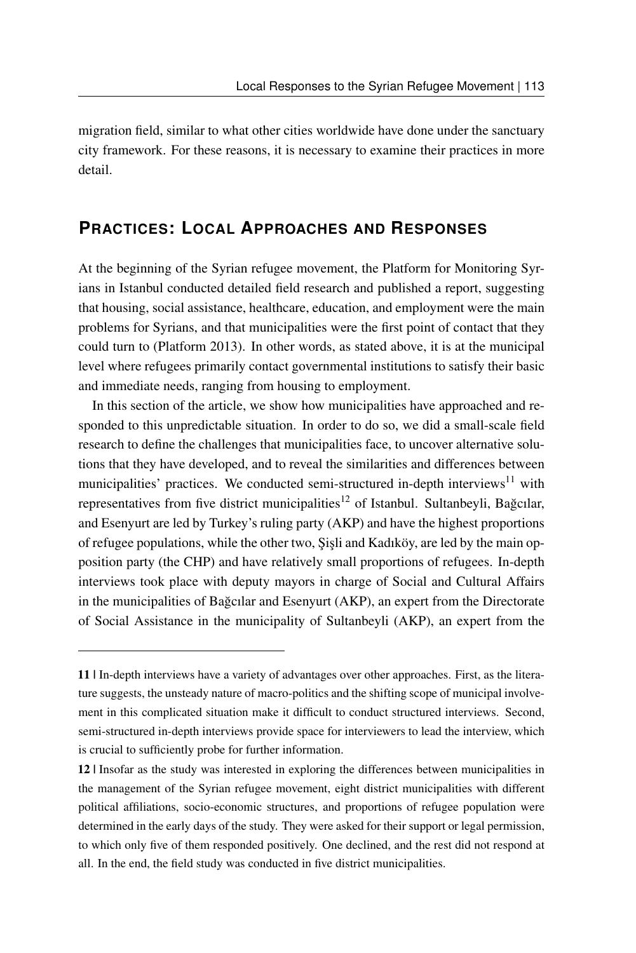migration field, similar to what other cities worldwide have done under the sanctuary city framework. For these reasons, it is necessary to examine their practices in more detail.

### **PRACTICES: LOCAL APPROACHES AND RESPONSES**

At the beginning of the Syrian refugee movement, the Platform for Monitoring Syrians in Istanbul conducted detailed field research and published a report, suggesting that housing, social assistance, healthcare, education, and employment were the main problems for Syrians, and that municipalities were the first point of contact that they could turn to (Platform 2013). In other words, as stated above, it is at the municipal level where refugees primarily contact governmental institutions to satisfy their basic and immediate needs, ranging from housing to employment.

In this section of the article, we show how municipalities have approached and responded to this unpredictable situation. In order to do so, we did a small-scale field research to define the challenges that municipalities face, to uncover alternative solutions that they have developed, and to reveal the similarities and differences between municipalities' practices. We conducted semi-structured in-depth interviews $11$  with representatives from five district municipalities<sup>[12](#page-10-1)</sup> of Istanbul. Sultanbeyli, Bağcılar, and Esenyurt are led by Turkey's ruling party (AKP) and have the highest proportions of refugee populations, while the other two, Şişli and Kadıköy, are led by the main opposition party (the CHP) and have relatively small proportions of refugees. In-depth interviews took place with deputy mayors in charge of Social and Cultural Affairs in the municipalities of Bağcılar and Esenyurt (AKP), an expert from the Directorate of Social Assistance in the municipality of Sultanbeyli (AKP), an expert from the

<span id="page-10-0"></span><sup>11 |</sup> In-depth interviews have a variety of advantages over other approaches. First, as the literature suggests, the unsteady nature of macro-politics and the shifting scope of municipal involvement in this complicated situation make it difficult to conduct structured interviews. Second, semi-structured in-depth interviews provide space for interviewers to lead the interview, which is crucial to sufficiently probe for further information.

<span id="page-10-1"></span><sup>12 |</sup> Insofar as the study was interested in exploring the differences between municipalities in the management of the Syrian refugee movement, eight district municipalities with different political affiliations, socio-economic structures, and proportions of refugee population were determined in the early days of the study. They were asked for their support or legal permission, to which only five of them responded positively. One declined, and the rest did not respond at all. In the end, the field study was conducted in five district municipalities.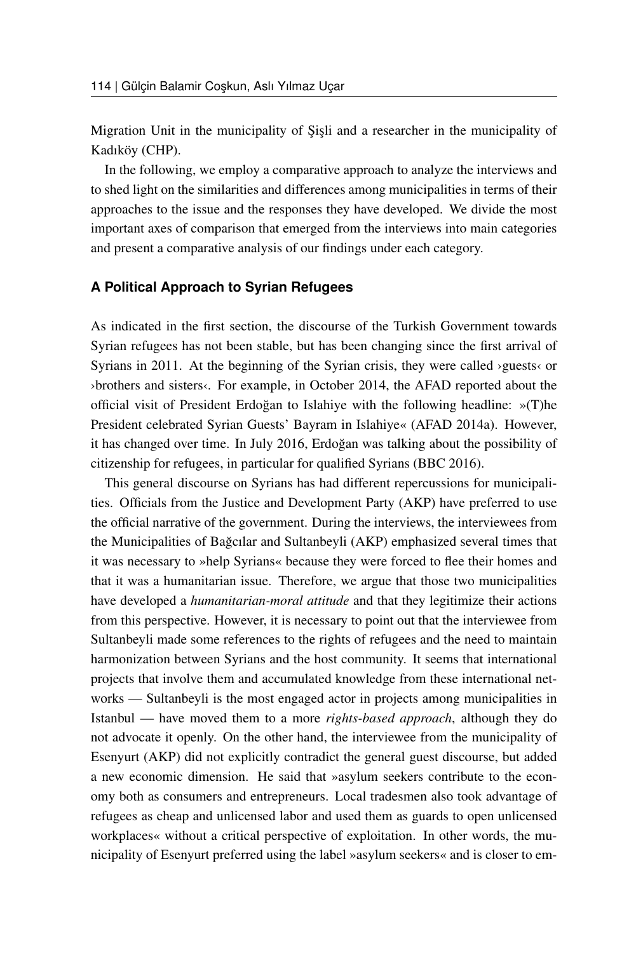Migration Unit in the municipality of Sisli and a researcher in the municipality of Kadıköy (CHP).

In the following, we employ a comparative approach to analyze the interviews and to shed light on the similarities and differences among municipalities in terms of their approaches to the issue and the responses they have developed. We divide the most important axes of comparison that emerged from the interviews into main categories and present a comparative analysis of our findings under each category.

#### **A Political Approach to Syrian Refugees**

As indicated in the first section, the discourse of the Turkish Government towards Syrian refugees has not been stable, but has been changing since the first arrival of Syrians in 2011. At the beginning of the Syrian crisis, they were called ›guests‹ or ›brothers and sisters‹. For example, in October 2014, the AFAD reported about the official visit of President Erdoğan to Islahiye with the following headline: »(T)he President celebrated Syrian Guests' Bayram in Islahiye« (AFAD 2014a). However, it has changed over time. In July 2016, Erdogan was talking about the possibility of ˘ citizenship for refugees, in particular for qualified Syrians (BBC 2016).

This general discourse on Syrians has had different repercussions for municipalities. Officials from the Justice and Development Party (AKP) have preferred to use the official narrative of the government. During the interviews, the interviewees from the Municipalities of Bagcılar and Sultanbeyli (AKP) emphasized several times that ˘ it was necessary to »help Syrians« because they were forced to flee their homes and that it was a humanitarian issue. Therefore, we argue that those two municipalities have developed a *humanitarian-moral attitude* and that they legitimize their actions from this perspective. However, it is necessary to point out that the interviewee from Sultanbeyli made some references to the rights of refugees and the need to maintain harmonization between Syrians and the host community. It seems that international projects that involve them and accumulated knowledge from these international networks — Sultanbeyli is the most engaged actor in projects among municipalities in Istanbul — have moved them to a more *rights-based approach*, although they do not advocate it openly. On the other hand, the interviewee from the municipality of Esenyurt (AKP) did not explicitly contradict the general guest discourse, but added a new economic dimension. He said that »asylum seekers contribute to the economy both as consumers and entrepreneurs. Local tradesmen also took advantage of refugees as cheap and unlicensed labor and used them as guards to open unlicensed workplaces« without a critical perspective of exploitation. In other words, the municipality of Esenyurt preferred using the label »asylum seekers« and is closer to em-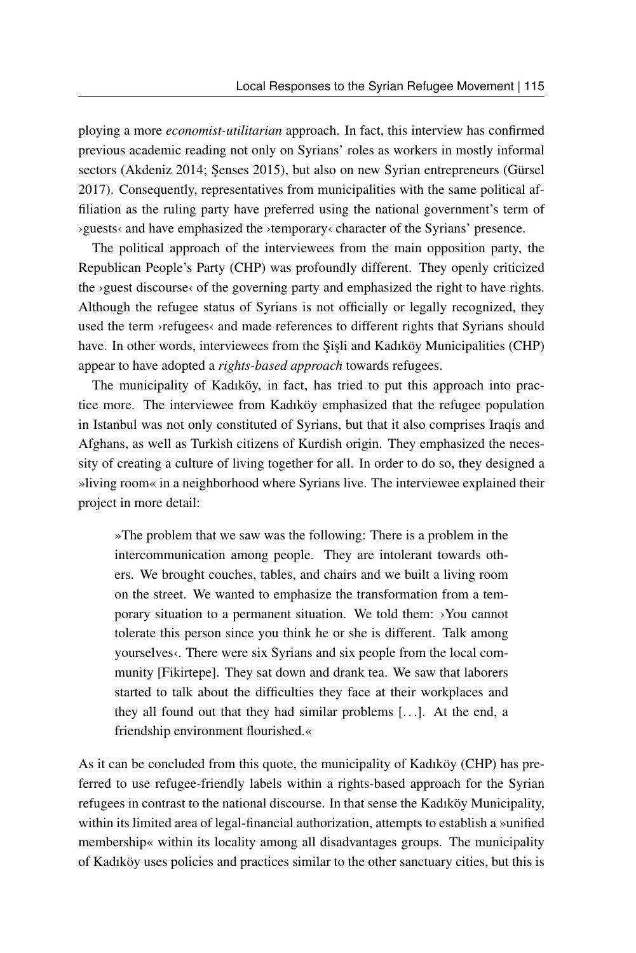ploying a more *economist-utilitarian* approach. In fact, this interview has confirmed previous academic reading not only on Syrians' roles as workers in mostly informal sectors (Akdeniz 2014; Senses 2015), but also on new Syrian entrepreneurs (Gürsel 2017). Consequently, representatives from municipalities with the same political affiliation as the ruling party have preferred using the national government's term of ›guests‹ and have emphasized the ›temporary‹ character of the Syrians' presence.

The political approach of the interviewees from the main opposition party, the Republican People's Party (CHP) was profoundly different. They openly criticized the >guest discourse< of the governing party and emphasized the right to have rights. Although the refugee status of Syrians is not officially or legally recognized, they used the term >refugees< and made references to different rights that Syrians should have. In other words, interviewees from the Sişli and Kadıköy Municipalities (CHP) appear to have adopted a *rights-based approach* towards refugees.

The municipality of Kadıköy, in fact, has tried to put this approach into practice more. The interviewee from Kadıköy emphasized that the refugee population in Istanbul was not only constituted of Syrians, but that it also comprises Iraqis and Afghans, as well as Turkish citizens of Kurdish origin. They emphasized the necessity of creating a culture of living together for all. In order to do so, they designed a »living room« in a neighborhood where Syrians live. The interviewee explained their project in more detail:

»The problem that we saw was the following: There is a problem in the intercommunication among people. They are intolerant towards others. We brought couches, tables, and chairs and we built a living room on the street. We wanted to emphasize the transformation from a temporary situation to a permanent situation. We told them: ›You cannot tolerate this person since you think he or she is different. Talk among yourselves. There were six Syrians and six people from the local community [Fikirtepe]. They sat down and drank tea. We saw that laborers started to talk about the difficulties they face at their workplaces and they all found out that they had similar problems [. . .]. At the end, a friendship environment flourished.«

As it can be concluded from this quote, the municipality of Kadıköy (CHP) has preferred to use refugee-friendly labels within a rights-based approach for the Syrian refugees in contrast to the national discourse. In that sense the Kadıköy Municipality, within its limited area of legal-financial authorization, attempts to establish a »unified membership« within its locality among all disadvantages groups. The municipality of Kadıköy uses policies and practices similar to the other sanctuary cities, but this is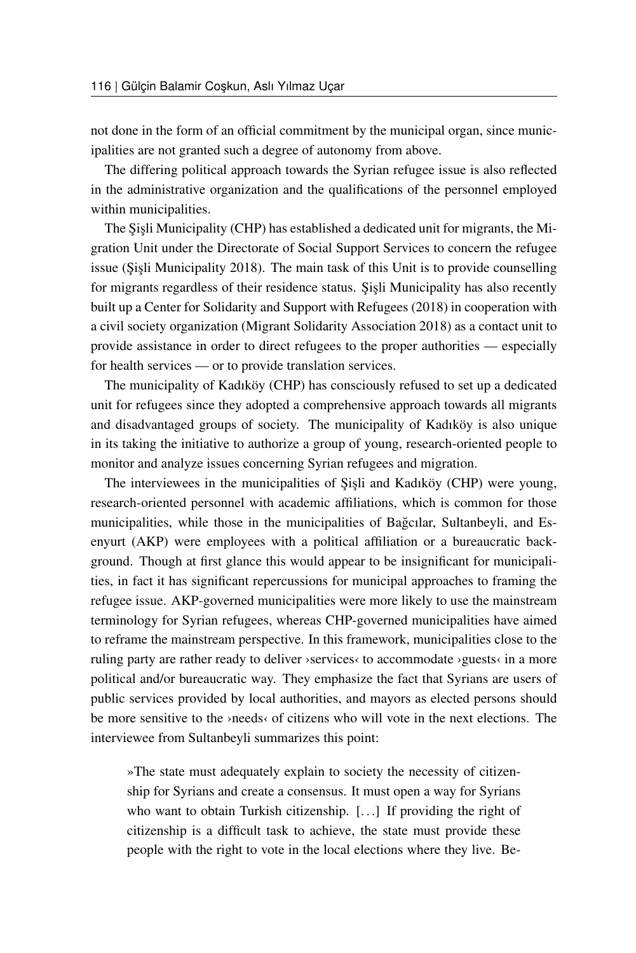not done in the form of an official commitment by the municipal organ, since municipalities are not granted such a degree of autonomy from above.

The differing political approach towards the Syrian refugee issue is also reflected in the administrative organization and the qualifications of the personnel employed within municipalities.

The Sişli Municipality (CHP) has established a dedicated unit for migrants, the Migration Unit under the Directorate of Social Support Services to concern the refugee issue (Şişli Municipality 2018). The main task of this Unit is to provide counselling for migrants regardless of their residence status. Sisli Municipality has also recently built up a Center for Solidarity and Support with Refugees (2018) in cooperation with a civil society organization (Migrant Solidarity Association 2018) as a contact unit to provide assistance in order to direct refugees to the proper authorities — especially for health services — or to provide translation services.

The municipality of Kadıköy (CHP) has consciously refused to set up a dedicated unit for refugees since they adopted a comprehensive approach towards all migrants and disadvantaged groups of society. The municipality of Kadıköy is also unique in its taking the initiative to authorize a group of young, research-oriented people to monitor and analyze issues concerning Syrian refugees and migration.

The interviewees in the municipalities of Sisli and Kadıköy (CHP) were young, research-oriented personnel with academic affiliations, which is common for those municipalities, while those in the municipalities of Bağcılar, Sultanbeyli, and Esenyurt (AKP) were employees with a political affiliation or a bureaucratic background. Though at first glance this would appear to be insignificant for municipalities, in fact it has significant repercussions for municipal approaches to framing the refugee issue. AKP-governed municipalities were more likely to use the mainstream terminology for Syrian refugees, whereas CHP-governed municipalities have aimed to reframe the mainstream perspective. In this framework, municipalities close to the ruling party are rather ready to deliver ›services‹ to accommodate ›guests‹ in a more political and/or bureaucratic way. They emphasize the fact that Syrians are users of public services provided by local authorities, and mayors as elected persons should be more sensitive to the ›needs‹ of citizens who will vote in the next elections. The interviewee from Sultanbeyli summarizes this point:

»The state must adequately explain to society the necessity of citizenship for Syrians and create a consensus. It must open a way for Syrians who want to obtain Turkish citizenship. [...] If providing the right of citizenship is a difficult task to achieve, the state must provide these people with the right to vote in the local elections where they live. Be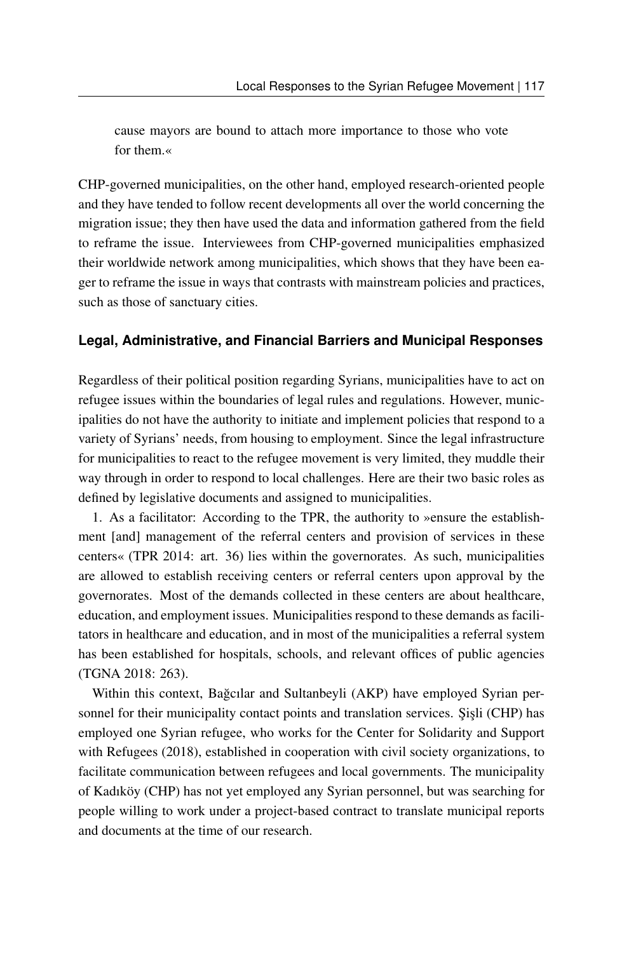cause mayors are bound to attach more importance to those who vote for them.«

CHP-governed municipalities, on the other hand, employed research-oriented people and they have tended to follow recent developments all over the world concerning the migration issue; they then have used the data and information gathered from the field to reframe the issue. Interviewees from CHP-governed municipalities emphasized their worldwide network among municipalities, which shows that they have been eager to reframe the issue in ways that contrasts with mainstream policies and practices, such as those of sanctuary cities.

#### **Legal, Administrative, and Financial Barriers and Municipal Responses**

Regardless of their political position regarding Syrians, municipalities have to act on refugee issues within the boundaries of legal rules and regulations. However, municipalities do not have the authority to initiate and implement policies that respond to a variety of Syrians' needs, from housing to employment. Since the legal infrastructure for municipalities to react to the refugee movement is very limited, they muddle their way through in order to respond to local challenges. Here are their two basic roles as defined by legislative documents and assigned to municipalities.

1. As a facilitator: According to the TPR, the authority to »ensure the establishment [and] management of the referral centers and provision of services in these centers« (TPR 2014: art. 36) lies within the governorates. As such, municipalities are allowed to establish receiving centers or referral centers upon approval by the governorates. Most of the demands collected in these centers are about healthcare, education, and employment issues. Municipalities respond to these demands as facilitators in healthcare and education, and in most of the municipalities a referral system has been established for hospitals, schools, and relevant offices of public agencies (TGNA 2018: 263).

Within this context, Bağcılar and Sultanbeyli (AKP) have employed Syrian personnel for their municipality contact points and translation services. Sişli (CHP) has employed one Syrian refugee, who works for the Center for Solidarity and Support with Refugees (2018), established in cooperation with civil society organizations, to facilitate communication between refugees and local governments. The municipality of Kadıköy (CHP) has not yet employed any Syrian personnel, but was searching for people willing to work under a project-based contract to translate municipal reports and documents at the time of our research.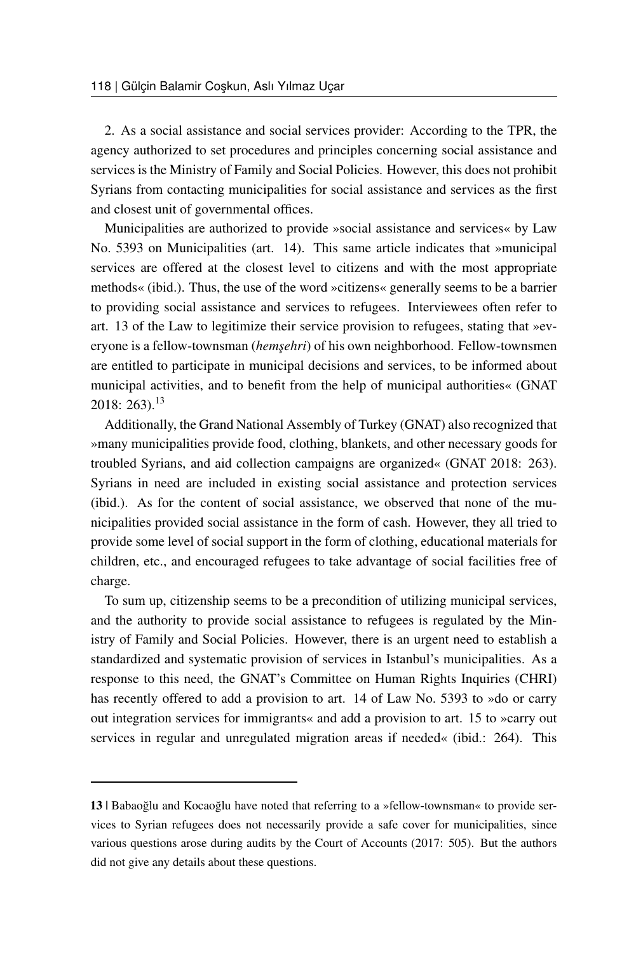2. As a social assistance and social services provider: According to the TPR, the agency authorized to set procedures and principles concerning social assistance and services is the Ministry of Family and Social Policies. However, this does not prohibit Syrians from contacting municipalities for social assistance and services as the first and closest unit of governmental offices.

Municipalities are authorized to provide »social assistance and services« by Law No. 5393 on Municipalities (art. 14). This same article indicates that »municipal services are offered at the closest level to citizens and with the most appropriate methods« (ibid.). Thus, the use of the word »citizens« generally seems to be a barrier to providing social assistance and services to refugees. Interviewees often refer to art. 13 of the Law to legitimize their service provision to refugees, stating that »everyone is a fellow-townsman (*hemsehri*) of his own neighborhood. Fellow-townsmen are entitled to participate in municipal decisions and services, to be informed about municipal activities, and to benefit from the help of municipal authorities« (GNAT 2018: 263).[13](#page-15-0)

Additionally, the Grand National Assembly of Turkey (GNAT) also recognized that »many municipalities provide food, clothing, blankets, and other necessary goods for troubled Syrians, and aid collection campaigns are organized« (GNAT 2018: 263). Syrians in need are included in existing social assistance and protection services (ibid.). As for the content of social assistance, we observed that none of the municipalities provided social assistance in the form of cash. However, they all tried to provide some level of social support in the form of clothing, educational materials for children, etc., and encouraged refugees to take advantage of social facilities free of charge.

To sum up, citizenship seems to be a precondition of utilizing municipal services, and the authority to provide social assistance to refugees is regulated by the Ministry of Family and Social Policies. However, there is an urgent need to establish a standardized and systematic provision of services in Istanbul's municipalities. As a response to this need, the GNAT's Committee on Human Rights Inquiries (CHRI) has recently offered to add a provision to art. 14 of Law No. 5393 to »do or carry out integration services for immigrants« and add a provision to art. 15 to »carry out services in regular and unregulated migration areas if needed« (ibid.: 264). This

<span id="page-15-0"></span><sup>13 |</sup> Babaoğlu and Kocaoğlu have noted that referring to a »fellow-townsman« to provide services to Syrian refugees does not necessarily provide a safe cover for municipalities, since various questions arose during audits by the Court of Accounts (2017: 505). But the authors did not give any details about these questions.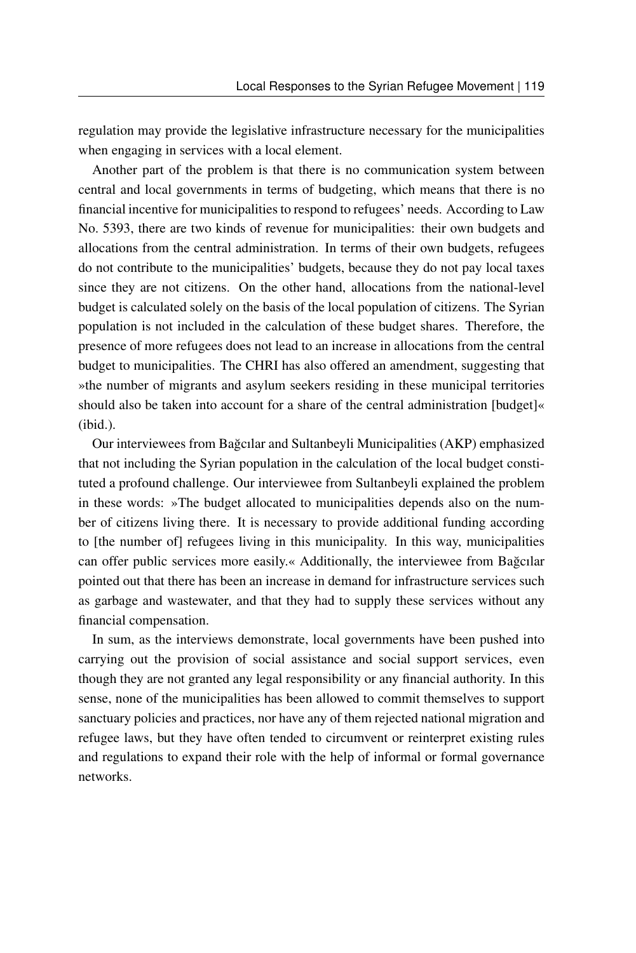regulation may provide the legislative infrastructure necessary for the municipalities when engaging in services with a local element.

Another part of the problem is that there is no communication system between central and local governments in terms of budgeting, which means that there is no financial incentive for municipalities to respond to refugees' needs. According to Law No. 5393, there are two kinds of revenue for municipalities: their own budgets and allocations from the central administration. In terms of their own budgets, refugees do not contribute to the municipalities' budgets, because they do not pay local taxes since they are not citizens. On the other hand, allocations from the national-level budget is calculated solely on the basis of the local population of citizens. The Syrian population is not included in the calculation of these budget shares. Therefore, the presence of more refugees does not lead to an increase in allocations from the central budget to municipalities. The CHRI has also offered an amendment, suggesting that »the number of migrants and asylum seekers residing in these municipal territories should also be taken into account for a share of the central administration [budget]« (ibid.).

Our interviewees from Bagcılar and Sultanbeyli Municipalities (AKP) emphasized ˘ that not including the Syrian population in the calculation of the local budget constituted a profound challenge. Our interviewee from Sultanbeyli explained the problem in these words: »The budget allocated to municipalities depends also on the number of citizens living there. It is necessary to provide additional funding according to [the number of] refugees living in this municipality. In this way, municipalities can offer public services more easily.« Additionally, the interviewee from Bağcılar pointed out that there has been an increase in demand for infrastructure services such as garbage and wastewater, and that they had to supply these services without any financial compensation.

In sum, as the interviews demonstrate, local governments have been pushed into carrying out the provision of social assistance and social support services, even though they are not granted any legal responsibility or any financial authority. In this sense, none of the municipalities has been allowed to commit themselves to support sanctuary policies and practices, nor have any of them rejected national migration and refugee laws, but they have often tended to circumvent or reinterpret existing rules and regulations to expand their role with the help of informal or formal governance networks.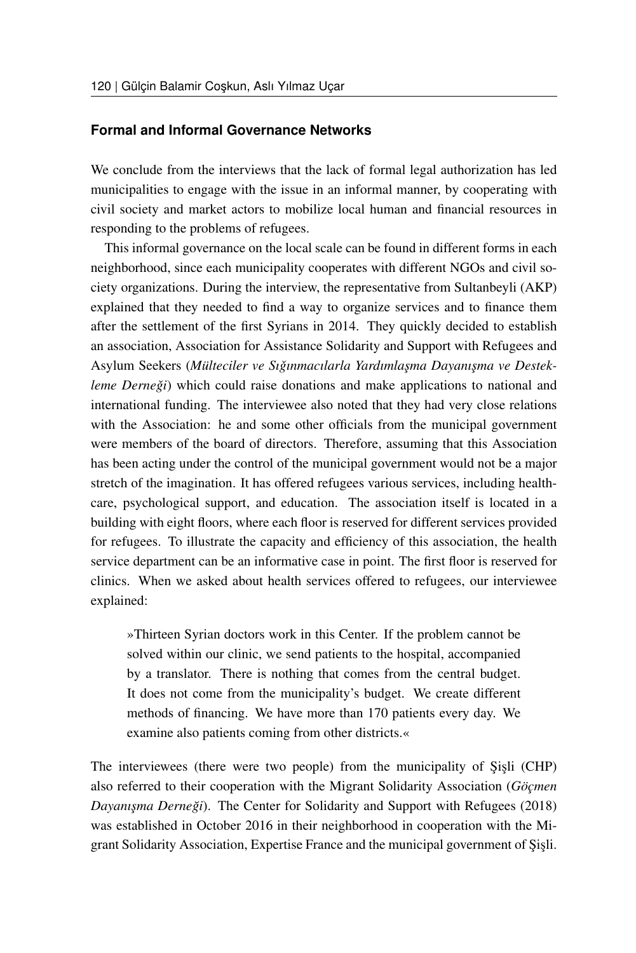#### **Formal and Informal Governance Networks**

We conclude from the interviews that the lack of formal legal authorization has led municipalities to engage with the issue in an informal manner, by cooperating with civil society and market actors to mobilize local human and financial resources in responding to the problems of refugees.

This informal governance on the local scale can be found in different forms in each neighborhood, since each municipality cooperates with different NGOs and civil society organizations. During the interview, the representative from Sultanbeyli (AKP) explained that they needed to find a way to organize services and to finance them after the settlement of the first Syrians in 2014. They quickly decided to establish an association, Association for Assistance Solidarity and Support with Refugees and Asylum Seekers (*Mülteciler ve Sıgınmacılarla Yardımla¸sma Dayanı¸sma ve Destek- ˇ leme Derneği*) which could raise donations and make applications to national and international funding. The interviewee also noted that they had very close relations with the Association: he and some other officials from the municipal government were members of the board of directors. Therefore, assuming that this Association has been acting under the control of the municipal government would not be a major stretch of the imagination. It has offered refugees various services, including healthcare, psychological support, and education. The association itself is located in a building with eight floors, where each floor is reserved for different services provided for refugees. To illustrate the capacity and efficiency of this association, the health service department can be an informative case in point. The first floor is reserved for clinics. When we asked about health services offered to refugees, our interviewee explained:

»Thirteen Syrian doctors work in this Center. If the problem cannot be solved within our clinic, we send patients to the hospital, accompanied by a translator. There is nothing that comes from the central budget. It does not come from the municipality's budget. We create different methods of financing. We have more than 170 patients every day. We examine also patients coming from other districts.«

The interviewees (there were two people) from the municipality of Sisli (CHP) also referred to their cooperation with the Migrant Solidarity Association (*Göçmen Dayanışma Derneği*). The Center for Solidarity and Support with Refugees (2018) was established in October 2016 in their neighborhood in cooperation with the Migrant Solidarity Association, Expertise France and the municipal government of Sisli.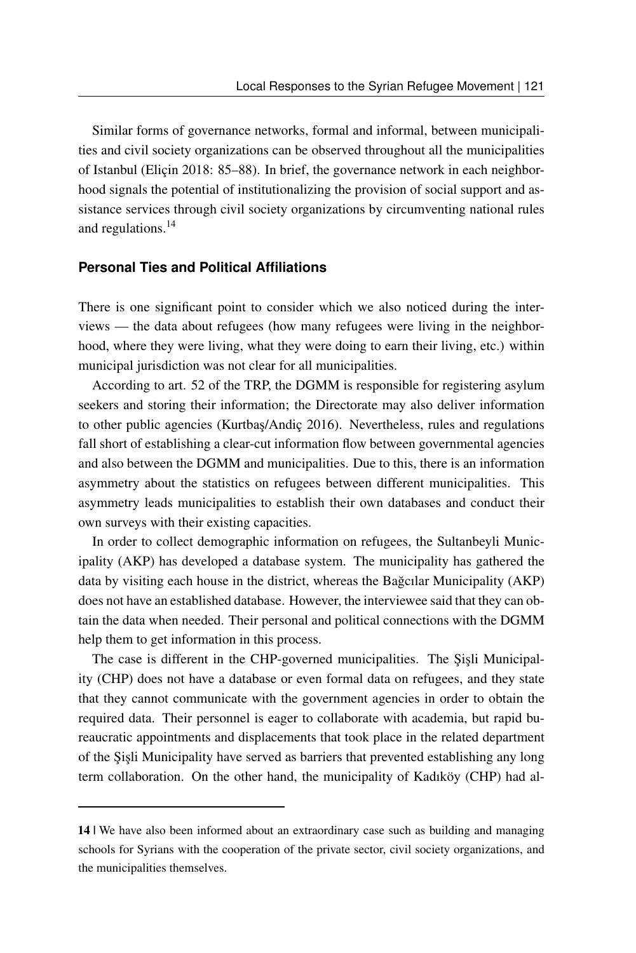Similar forms of governance networks, formal and informal, between municipalities and civil society organizations can be observed throughout all the municipalities of Istanbul (Eliçin 2018: 85–88). In brief, the governance network in each neighborhood signals the potential of institutionalizing the provision of social support and assistance services through civil society organizations by circumventing national rules and regulations.[14](#page-18-0)

#### **Personal Ties and Political Affiliations**

There is one significant point to consider which we also noticed during the interviews — the data about refugees (how many refugees were living in the neighborhood, where they were living, what they were doing to earn their living, etc.) within municipal jurisdiction was not clear for all municipalities.

According to art. 52 of the TRP, the DGMM is responsible for registering asylum seekers and storing their information; the Directorate may also deliver information to other public agencies (Kurtbas/Andic 2016). Nevertheless, rules and regulations fall short of establishing a clear-cut information flow between governmental agencies and also between the DGMM and municipalities. Due to this, there is an information asymmetry about the statistics on refugees between different municipalities. This asymmetry leads municipalities to establish their own databases and conduct their own surveys with their existing capacities.

In order to collect demographic information on refugees, the Sultanbeyli Municipality (AKP) has developed a database system. The municipality has gathered the data by visiting each house in the district, whereas the Bagcilar Municipality (AKP) does not have an established database. However, the interviewee said that they can obtain the data when needed. Their personal and political connections with the DGMM help them to get information in this process.

The case is different in the CHP-governed municipalities. The Şişli Municipality (CHP) does not have a database or even formal data on refugees, and they state that they cannot communicate with the government agencies in order to obtain the required data. Their personnel is eager to collaborate with academia, but rapid bureaucratic appointments and displacements that took place in the related department of the Şişli Municipality have served as barriers that prevented establishing any long term collaboration. On the other hand, the municipality of Kadıköy (CHP) had al-

<span id="page-18-0"></span><sup>14 |</sup> We have also been informed about an extraordinary case such as building and managing schools for Syrians with the cooperation of the private sector, civil society organizations, and the municipalities themselves.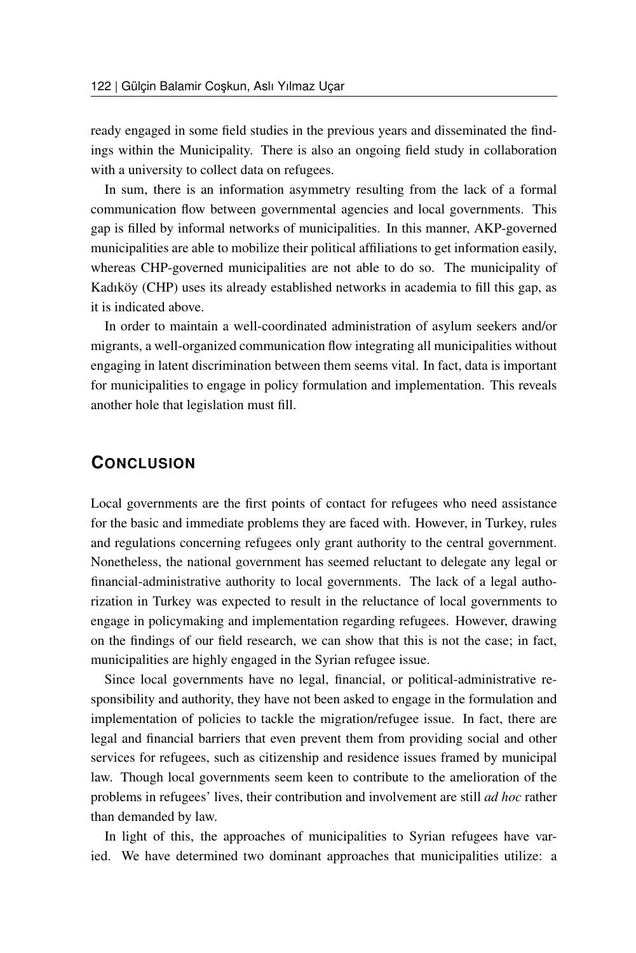ready engaged in some field studies in the previous years and disseminated the findings within the Municipality. There is also an ongoing field study in collaboration with a university to collect data on refugees.

In sum, there is an information asymmetry resulting from the lack of a formal communication flow between governmental agencies and local governments. This gap is filled by informal networks of municipalities. In this manner, AKP-governed municipalities are able to mobilize their political affiliations to get information easily, whereas CHP-governed municipalities are not able to do so. The municipality of Kadıköy (CHP) uses its already established networks in academia to fill this gap, as it is indicated above.

In order to maintain a well-coordinated administration of asylum seekers and/or migrants, a well-organized communication flow integrating all municipalities without engaging in latent discrimination between them seems vital. In fact, data is important for municipalities to engage in policy formulation and implementation. This reveals another hole that legislation must fill.

## **CONCLUSION**

Local governments are the first points of contact for refugees who need assistance for the basic and immediate problems they are faced with. However, in Turkey, rules and regulations concerning refugees only grant authority to the central government. Nonetheless, the national government has seemed reluctant to delegate any legal or financial-administrative authority to local governments. The lack of a legal authorization in Turkey was expected to result in the reluctance of local governments to engage in policymaking and implementation regarding refugees. However, drawing on the findings of our field research, we can show that this is not the case; in fact, municipalities are highly engaged in the Syrian refugee issue.

Since local governments have no legal, financial, or political-administrative responsibility and authority, they have not been asked to engage in the formulation and implementation of policies to tackle the migration/refugee issue. In fact, there are legal and financial barriers that even prevent them from providing social and other services for refugees, such as citizenship and residence issues framed by municipal law. Though local governments seem keen to contribute to the amelioration of the problems in refugees' lives, their contribution and involvement are still *ad hoc* rather than demanded by law.

In light of this, the approaches of municipalities to Syrian refugees have varied. We have determined two dominant approaches that municipalities utilize: a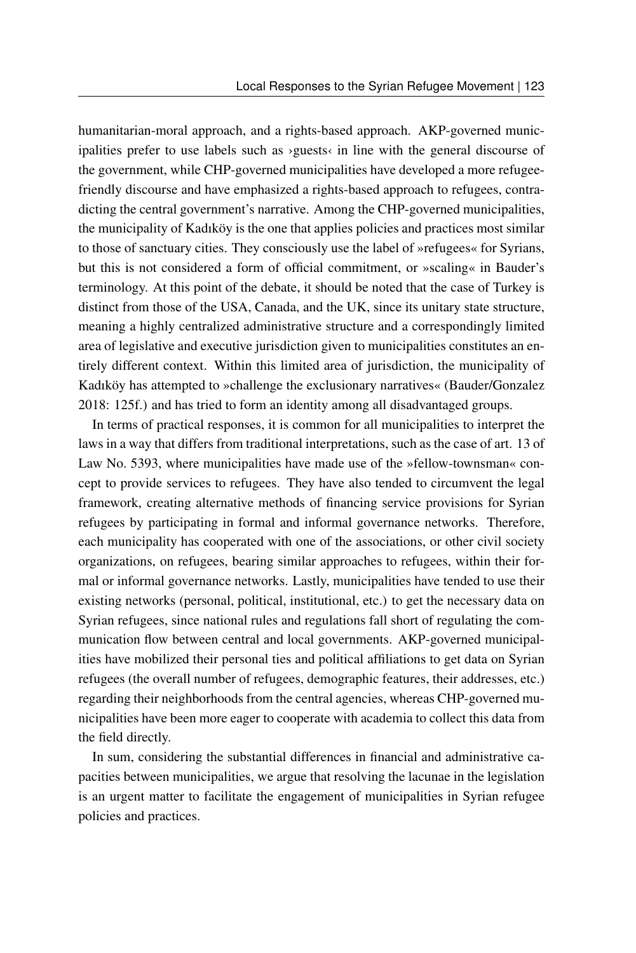humanitarian-moral approach, and a rights-based approach. AKP-governed municipalities prefer to use labels such as ›guests‹ in line with the general discourse of the government, while CHP-governed municipalities have developed a more refugeefriendly discourse and have emphasized a rights-based approach to refugees, contradicting the central government's narrative. Among the CHP-governed municipalities, the municipality of Kadıköy is the one that applies policies and practices most similar to those of sanctuary cities. They consciously use the label of »refugees« for Syrians, but this is not considered a form of official commitment, or »scaling« in Bauder's terminology. At this point of the debate, it should be noted that the case of Turkey is distinct from those of the USA, Canada, and the UK, since its unitary state structure, meaning a highly centralized administrative structure and a correspondingly limited area of legislative and executive jurisdiction given to municipalities constitutes an entirely different context. Within this limited area of jurisdiction, the municipality of Kadıköy has attempted to »challenge the exclusionary narratives« (Bauder/Gonzalez 2018: 125f.) and has tried to form an identity among all disadvantaged groups.

In terms of practical responses, it is common for all municipalities to interpret the laws in a way that differs from traditional interpretations, such as the case of art. 13 of Law No. 5393, where municipalities have made use of the »fellow-townsman« concept to provide services to refugees. They have also tended to circumvent the legal framework, creating alternative methods of financing service provisions for Syrian refugees by participating in formal and informal governance networks. Therefore, each municipality has cooperated with one of the associations, or other civil society organizations, on refugees, bearing similar approaches to refugees, within their formal or informal governance networks. Lastly, municipalities have tended to use their existing networks (personal, political, institutional, etc.) to get the necessary data on Syrian refugees, since national rules and regulations fall short of regulating the communication flow between central and local governments. AKP-governed municipalities have mobilized their personal ties and political affiliations to get data on Syrian refugees (the overall number of refugees, demographic features, their addresses, etc.) regarding their neighborhoods from the central agencies, whereas CHP-governed municipalities have been more eager to cooperate with academia to collect this data from the field directly.

In sum, considering the substantial differences in financial and administrative capacities between municipalities, we argue that resolving the lacunae in the legislation is an urgent matter to facilitate the engagement of municipalities in Syrian refugee policies and practices.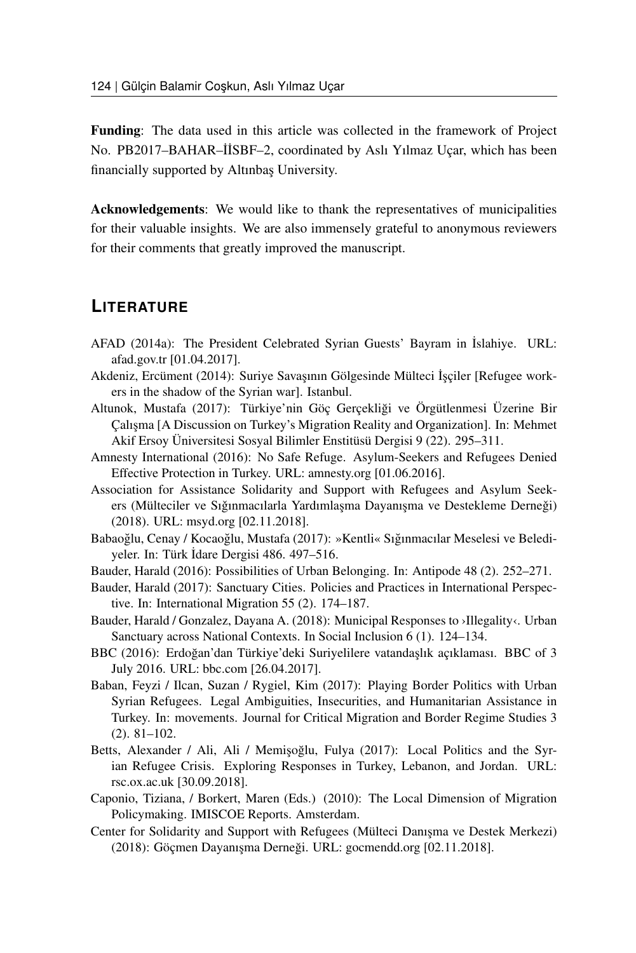Funding: The data used in this article was collected in the framework of Project No. PB2017-BAHAR-İİSBF-2, coordinated by Aslı Yılmaz Uçar, which has been financially supported by Altınbaş University.

Acknowledgements: We would like to thank the representatives of municipalities for their valuable insights. We are also immensely grateful to anonymous reviewers for their comments that greatly improved the manuscript.

### **LITERATURE**

- AFAD (2014a): The President Celebrated Syrian Guests' Bayram in ˙Islahiye. URL: [afad.gov.tr](https://www.afad.gov.tr/tr/2240/Cumhurbaskani-Suriyeli-Misafirlerin-Bayramini-Islahiyede-Kutladi) [01.04.2017].
- Akdeniz, Ercüment (2014): Suriye Savaşının Gölgesinde Mülteci İşçiler [Refugee workers in the shadow of the Syrian war]. Istanbul.
- Altunok, Mustafa (2017): Türkiye'nin Göç Gerçekligi ve Örgütlenmesi Üzerine Bir ˘ Calisma [A Discussion on Turkey's Migration Reality and Organization]. In: Mehmet Akif Ersoy Üniversitesi Sosyal Bilimler Enstitüsü Dergisi 9 (22). 295–311.
- Amnesty International (2016): No Safe Refuge. Asylum-Seekers and Refugees Denied Effective Protection in Turkey. URL: [amnesty.org](https://www.amnesty.org/en/documents/eur44/3825/2016/en/) [01.06.2016].
- Association for Assistance Solidarity and Support with Refugees and Asylum Seekers (Mülteciler ve Sığınmacılarla Yardımlaşma Dayanışma ve Destekleme Derneği) (2018). URL: [msyd.org](http://msyd.org/) [02.11.2018].
- Babaoğlu, Cenay / Kocaoğlu, Mustafa (2017): »Kentli« Sığınmacılar Meselesi ve Belediyeler. In: Türk İdare Dergisi 486. 497–516.
- Bauder, Harald (2016): Possibilities of Urban Belonging. In: Antipode 48 (2). 252–271.
- Bauder, Harald (2017): Sanctuary Cities. Policies and Practices in International Perspective. In: International Migration 55 (2). 174–187.
- Bauder, Harald / Gonzalez, Dayana A. (2018): Municipal Responses to ›Illegality‹. Urban Sanctuary across National Contexts. In Social Inclusion 6 (1). 124–134.
- BBC (2016): Erdoğan'dan Türkiye'deki Suriyelilere vatandaşlık açıklaması. BBC of 3 July 2016. URL: [bbc.com](http://www.bbc.com/turkce/haberler/2016/07/160703_erdogan_suriyeliler) [26.04.2017].
- Baban, Feyzi / Ilcan, Suzan / Rygiel, Kim (2017): Playing Border Politics with Urban Syrian Refugees. Legal Ambiguities, Insecurities, and Humanitarian Assistance in Turkey. In: movements. Journal for Critical Migration and Border Regime Studies 3 (2). 81–102.
- Betts, Alexander / Ali, Ali / Memişoğlu, Fulya (2017): Local Politics and the Syrian Refugee Crisis. Exploring Responses in Turkey, Lebanon, and Jordan. URL: [rsc.ox.ac.uk](https://www.rsc.ox.ac.uk/publications/local-politics-and-the-syrian-refugee-crisis-exploring-responses-in-turkey-lebanon-and-jordan) [30.09.2018].
- Caponio, Tiziana, / Borkert, Maren (Eds.) (2010): The Local Dimension of Migration Policymaking. IMISCOE Reports. Amsterdam.
- Center for Solidarity and Support with Refugees (Mülteci Danısma ve Destek Merkezi) (2018): Göçmen Dayanışma Derneği. URL: [gocmendd.org](http://gocmendd.org/) [02.11.2018].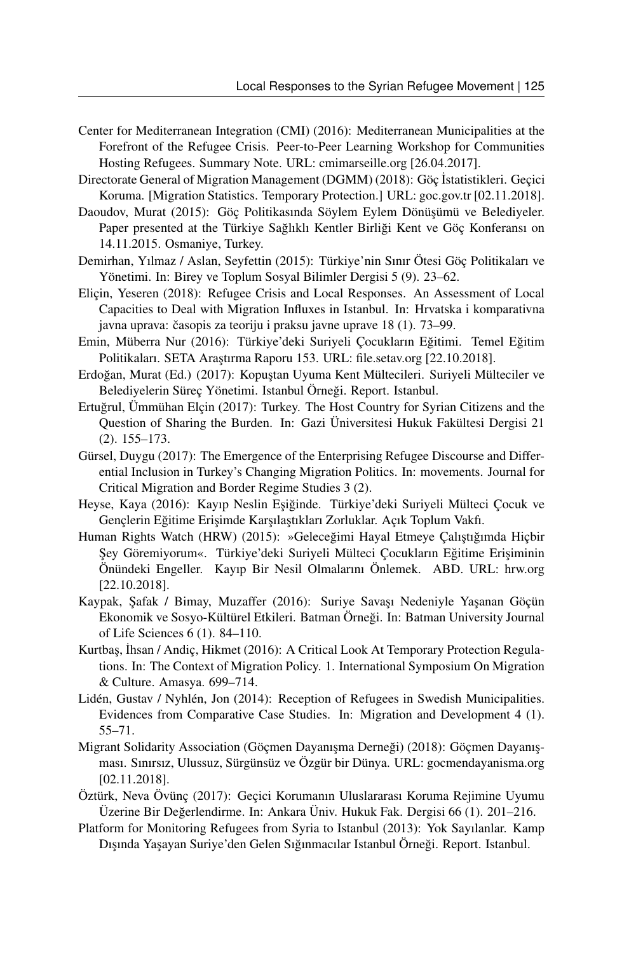- Center for Mediterranean Integration (CMI) (2016): Mediterranean Municipalities at the Forefront of the Refugee Crisis. Peer-to-Peer Learning Workshop for Communities Hosting Refugees. Summary Note. URL: [cmimarseille.org](http://cmimarseille.org/sites/default/files/newsite/library/files/en/Summary%20Main%20messages_Final_.pdf) [26.04.2017].
- Directorate General of Migration Management (DGMM) (2018): Göç İstatistikleri. Geçici Koruma. [Migration Statistics. Temporary Protection.] URL: [goc.gov.tr](http://www.goc.gov.tr/icerik6/gecici-koruma_363_378_4713_icerik) [02.11.2018].
- Daoudov, Murat (2015): Göç Politikasında Söylem Eylem Dönüşümü ve Belediyeler. Paper presented at the Türkiye Sağlıklı Kentler Birliği Kent ve Göç Konferansı on 14.11.2015. Osmaniye, Turkey.
- Demirhan, Yılmaz / Aslan, Seyfettin (2015): Türkiye'nin Sınır Ötesi Göç Politikaları ve Yönetimi. In: Birey ve Toplum Sosyal Bilimler Dergisi 5 (9). 23–62.
- Eliçin, Yeseren (2018): Refugee Crisis and Local Responses. An Assessment of Local Capacities to Deal with Migration Influxes in Istanbul. In: Hrvatska i komparativna javna uprava: časopis za teoriju i praksu javne uprave 18 (1). 73–99.
- Emin, Müberra Nur (2016): Türkiye'deki Suriyeli Çocukların Eğitimi. Temel Eğitim Politikaları. SETA Araştırma Raporu 153. URL: [file.setav.org](http://file.setav.org/Files/Pdf/20160309195808_turkiyedeki-suriyeli-cocuklarin-egitimi-pdf.pdf) [22.10.2018].
- Erdoğan, Murat (Ed.) (2017): Kopustan Uyuma Kent Mültecileri. Suriyeli Mülteciler ve Belediyelerin Süreç Yönetimi. Istanbul Örneği. Report. Istanbul.
- Ertugrul, Ümmühan Elçin (2017): Turkey. The Host Country for Syrian Citizens and the ˘ Question of Sharing the Burden. In: Gazi Üniversitesi Hukuk Fakültesi Dergisi 21 (2). 155–173.
- Gürsel, Duygu (2017): The Emergence of the Enterprising Refugee Discourse and Differential Inclusion in Turkey's Changing Migration Politics. In: movements. Journal for Critical Migration and Border Regime Studies 3 (2).
- Heyse, Kaya (2016): Kayıp Neslin Esiğinde. Türkiye'deki Suriyeli Mülteci Cocuk ve Gençlerin Eğitime Erişimde Karşılaştıkları Zorluklar. Açık Toplum Vakfı.
- Human Rights Watch (HRW) (2015): »Geleceğimi Hayal Etmeye Calıştığımda Hiçbir Şey Göremiyorum«. Türkiye'deki Suriyeli Mülteci Çocukların Eğitime Erişiminin Önündeki Engeller. Kayıp Bir Nesil Olmalarını Önlemek. ABD. URL: [hrw.org](https://www.hrw.org/sites/default/files/report_pdf/turkey1115tu_web.pdf) [22.10.2018].
- Kaypak, Şafak / Bimay, Muzaffer (2016): Suriye Savaşı Nedeniyle Yaşanan Göçün Ekonomik ve Sosyo-Kültürel Etkileri. Batman Örnegi. In: Batman University Journal ˘ of Life Sciences 6 (1). 84–110.
- Kurtbas, İhsan / Andic, Hikmet (2016): A Critical Look At Temporary Protection Regulations. In: The Context of Migration Policy. 1. International Symposium On Migration & Culture. Amasya. 699–714.
- Lidén, Gustav / Nyhlén, Jon (2014): Reception of Refugees in Swedish Municipalities. Evidences from Comparative Case Studies. In: Migration and Development 4 (1). 55–71.
- Migrant Solidarity Association (Göçmen Dayanışma Derneği) (2018): Göçmen Dayanışması. Sınırsız, Ulussuz, Sürgünsüz ve Özgür bir Dünya. URL: [gocmendayanisma.org](http://gocmendayanisma.org/) [02.11.2018].
- Öztürk, Neva Övünç (2017): Geçici Korumanın Uluslararası Koruma Rejimine Uyumu Üzerine Bir Değerlendirme. In: Ankara Üniv. Hukuk Fak. Dergisi 66 (1). 201–216.
- Platform for Monitoring Refugees from Syria to Istanbul (2013): Yok Sayılanlar. Kamp Dışında Yaşayan Suriye'den Gelen Sığınmacılar Istanbul Örneği. Report. Istanbul.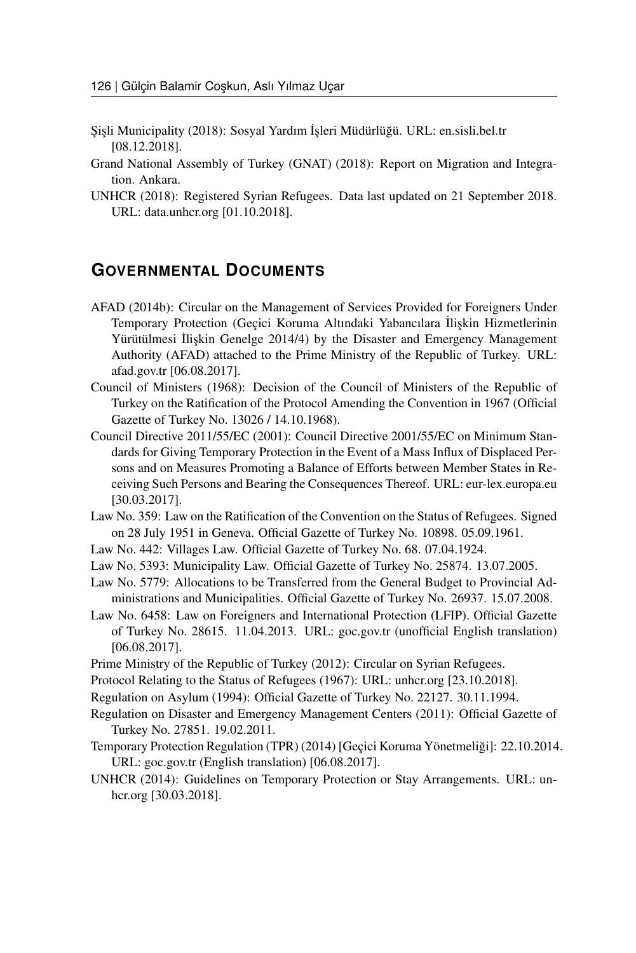- ¸Si¸sli Municipality (2018): Sosyal Yardım ˙I¸sleri Müdürlügü. URL: [en.sisli.bel.tr](https://en.sisli.bel.tr/icerik/sosyal-yardim-isleri-mudurlugu) ˘ [08.12.2018].
- Grand National Assembly of Turkey (GNAT) (2018): Report on Migration and Integration. Ankara.
- UNHCR (2018): Registered Syrian Refugees. Data last updated on 21 September 2018. URL: [data.unhcr.org](http://data.unhcr.org/syrianrefugees/regional.php) [01.10.2018].

### **GOVERNMENTAL DOCUMENTS**

- AFAD (2014b): Circular on the Management of Services Provided for Foreigners Under Temporary Protection (Gecici Koruma Altındaki Yabancılara İlişkin Hizmetlerinin Yürütülmesi İlişkin Genelge 2014/4) by the Disaster and Emergency Management Authority (AFAD) attached to the Prime Ministry of the Republic of Turkey. URL: [afad.gov.tr](http://www.afad.gov.tr/upload/Node/2311/files/Gecici-Koruma_Altindaki_Yabancilara_Iliskin_Hizmetlerin_Yurutulmesi_2014-4_.pdf) [06.08.2017].
- Council of Ministers (1968): Decision of the Council of Ministers of the Republic of Turkey on the Ratification of the Protocol Amending the Convention in 1967 (Official Gazette of Turkey No. 13026 / 14.10.1968).
- Council Directive 2011/55/EC (2001): Council Directive 2001/55/EC on Minimum Standards for Giving Temporary Protection in the Event of a Mass Influx of Displaced Persons and on Measures Promoting a Balance of Efforts between Member States in Receiving Such Persons and Bearing the Consequences Thereof. URL: [eur-lex.europa.eu](https://eur-lex.europa.eu/eli/dir/2001/55/oj) [30.03.2017].
- Law No. 359: Law on the Ratification of the Convention on the Status of Refugees. Signed on 28 July 1951 in Geneva. Official Gazette of Turkey No. 10898. 05.09.1961.
- Law No. 442: Villages Law. Official Gazette of Turkey No. 68. 07.04.1924.
- Law No. 5393: Municipality Law. Official Gazette of Turkey No. 25874. 13.07.2005.
- Law No. 5779: Allocations to be Transferred from the General Budget to Provincial Administrations and Municipalities. Official Gazette of Turkey No. 26937. 15.07.2008.
- Law No. 6458: Law on Foreigners and International Protection (LFIP). Official Gazette of Turkey No. 28615. 11.04.2013. URL: [goc.gov.tr](http://www.goc.gov.tr/files/files/eng_minikanun_5_son.pdf) (unofficial English translation) [06.08.2017].
- Prime Ministry of the Republic of Turkey (2012): Circular on Syrian Refugees.
- Protocol Relating to the Status of Refugees (1967): URL: [unhcr.org](http://www.unhcr.org/protection/convention/4dac37d79/reservations-declarations-1967-protocol-relating-status-refugees.html) [23.10.2018].
- Regulation on Asylum (1994): Official Gazette of Turkey No. 22127. 30.11.1994.
- Regulation on Disaster and Emergency Management Centers (2011): Official Gazette of Turkey No. 27851. 19.02.2011.
- Temporary Protection Regulation (TPR) (2014) [Geçici Koruma Yönetmeligi]: 22.10.2014. ˘ URL: [goc.gov.tr](http://www.goc.gov.tr/files/_dokuman28.pdf) (English translation) [06.08.2017].
- UNHCR (2014): Guidelines on Temporary Protection or Stay Arrangements. URL: [un](http://www.unhcr.org/protection/expert/5304b71c9/guidelines-temporary-protection-stay-arrangements.html)[hcr.org](http://www.unhcr.org/protection/expert/5304b71c9/guidelines-temporary-protection-stay-arrangements.html) [30.03.2018].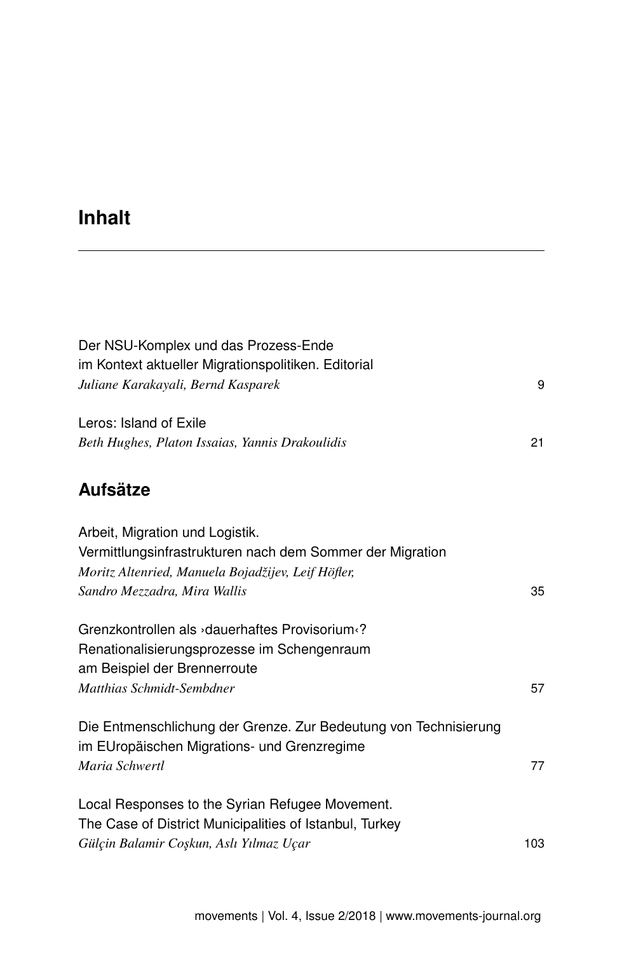# **Inhalt**

| Der NSU-Komplex und das Prozess-Ende<br>im Kontext aktueller Migrationspolitiken. Editorial<br>Juliane Karakayali, Bernd Kasparek                                                  | 9   |
|------------------------------------------------------------------------------------------------------------------------------------------------------------------------------------|-----|
| Leros: Island of Exile<br>Beth Hughes, Platon Issaias, Yannis Drakoulidis                                                                                                          | 21  |
| <b>Aufsätze</b>                                                                                                                                                                    |     |
| Arbeit, Migration und Logistik.<br>Vermittlungsinfrastrukturen nach dem Sommer der Migration<br>Moritz Altenried, Manuela Bojadžijev, Leif Höfler,<br>Sandro Mezzadra, Mira Wallis | 35  |
| Grenzkontrollen als > dauerhaftes Provisorium <br Renationalisierungsprozesse im Schengenraum<br>am Beispiel der Brennerroute<br>Matthias Schmidt-Sembdner                         | 57  |
| Die Entmenschlichung der Grenze. Zur Bedeutung von Technisierung                                                                                                                   |     |
| im EUropäischen Migrations- und Grenzregime<br>Maria Schwertl                                                                                                                      | 77  |
| Local Responses to the Syrian Refugee Movement.<br>The Case of District Municipalities of Istanbul, Turkey                                                                         |     |
| Gülçin Balamir Coşkun, Aslı Yılmaz Uçar                                                                                                                                            | 103 |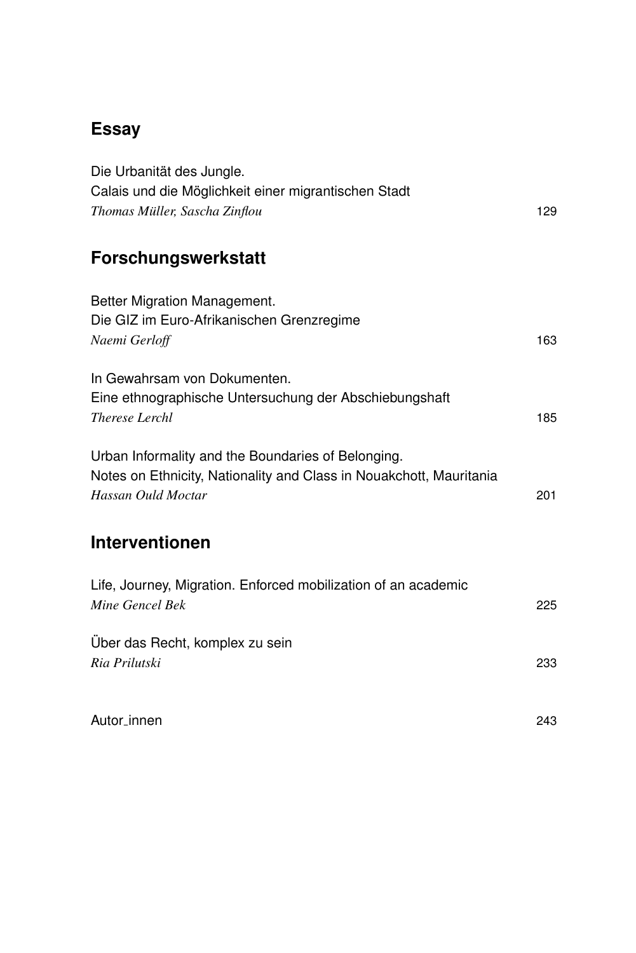## **[Essay](#page--1-1)**

| Die Urbanität des Jungle.                                                         |     |
|-----------------------------------------------------------------------------------|-----|
| Calais und die Möglichkeit einer migrantischen Stadt                              |     |
| Thomas Müller, Sascha Zinflou                                                     | 129 |
|                                                                                   |     |
| Forschungswerkstatt                                                               |     |
| Better Migration Management.                                                      |     |
| Die GIZ im Euro-Afrikanischen Grenzregime                                         |     |
| Naemi Gerloff                                                                     | 163 |
|                                                                                   |     |
| In Gewahrsam von Dokumenten.                                                      |     |
| Eine ethnographische Untersuchung der Abschiebungshaft                            |     |
| Therese Lerchl                                                                    | 185 |
| Urban Informality and the Boundaries of Belonging.                                |     |
| Notes on Ethnicity, Nationality and Class in Nouakchott, Mauritania               |     |
| Hassan Ould Moctar                                                                | 201 |
|                                                                                   |     |
| <b>Interventionen</b>                                                             |     |
|                                                                                   |     |
| Life, Journey, Migration. Enforced mobilization of an academic<br>Mine Gencel Bek | 225 |
|                                                                                   |     |
| Über das Recht, komplex zu sein                                                   |     |
| Ria Prilutski                                                                     | 233 |
|                                                                                   |     |
| Autor_innen                                                                       | 243 |
|                                                                                   |     |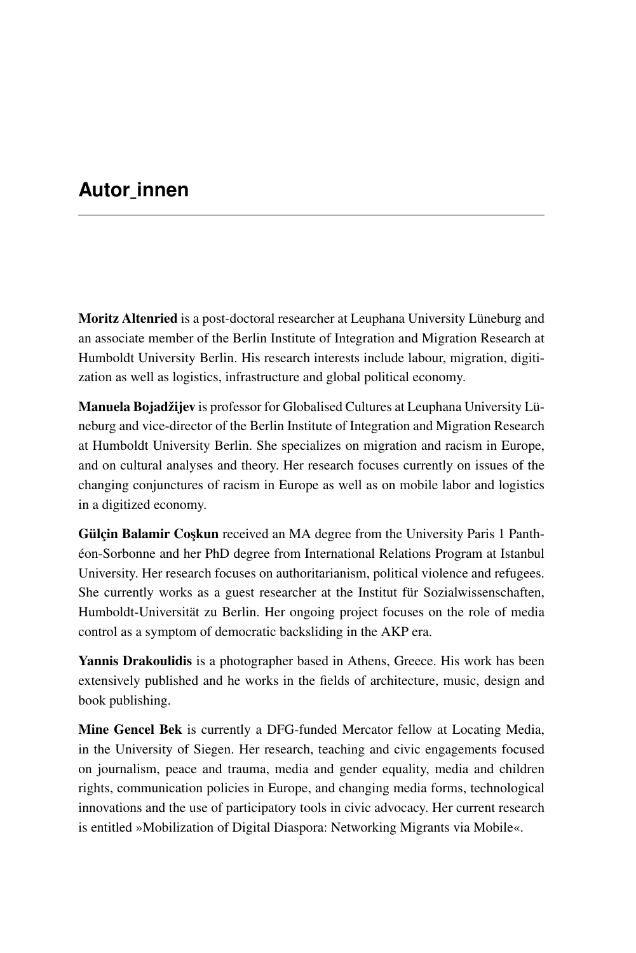## **Autor\_innen**

Moritz Altenried is a post-doctoral researcher at Leuphana University Lüneburg and an associate member of the Berlin Institute of Integration and Migration Research at Humboldt University Berlin. His research interests include labour, migration, digitization as well as logistics, infrastructure and global political economy.

Manuela Bojadžijev is professor for Globalised Cultures at Leuphana University Lüneburg and vice-director of the Berlin Institute of Integration and Migration Research at Humboldt University Berlin. She specializes on migration and racism in Europe, and on cultural analyses and theory. Her research focuses currently on issues of the changing conjunctures of racism in Europe as well as on mobile labor and logistics in a digitized economy.

**Gülçin Balamir Coşkun** received an MA degree from the University Paris 1 Panthéon-Sorbonne and her PhD degree from International Relations Program at Istanbul University. Her research focuses on authoritarianism, political violence and refugees. She currently works as a guest researcher at the Institut für Sozialwissenschaften, Humboldt-Universität zu Berlin. Her ongoing project focuses on the role of media control as a symptom of democratic backsliding in the AKP era.

Yannis Drakoulidis is a photographer based in Athens, Greece. His work has been extensively published and he works in the fields of architecture, music, design and book publishing.

Mine Gencel Bek is currently a DFG-funded Mercator fellow at Locating Media, in the University of Siegen. Her research, teaching and civic engagements focused on journalism, peace and trauma, media and gender equality, media and children rights, communication policies in Europe, and changing media forms, technological innovations and the use of participatory tools in civic advocacy. Her current research is entitled »Mobilization of Digital Diaspora: Networking Migrants via Mobile«.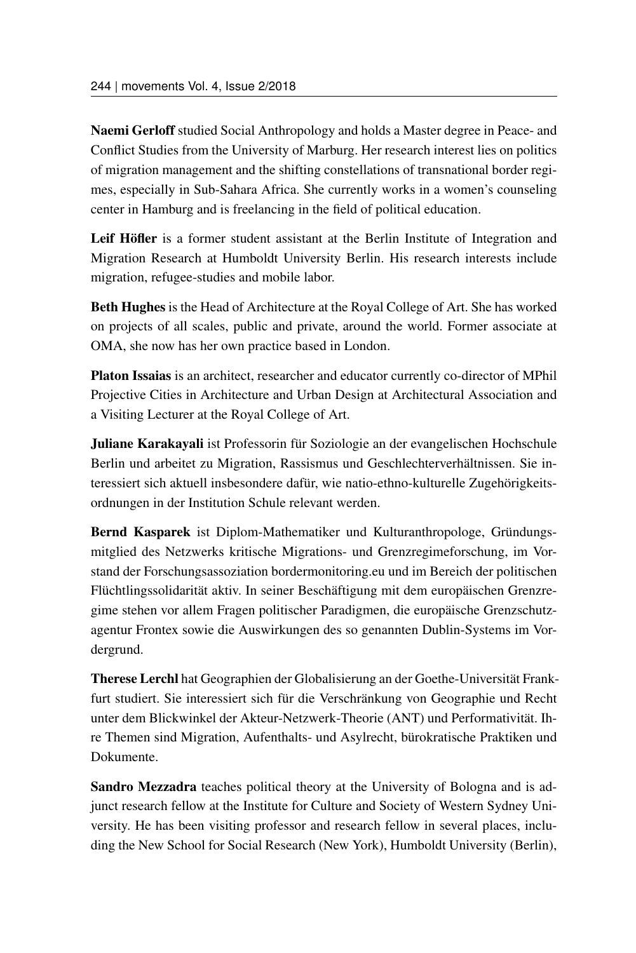Naemi Gerloff studied Social Anthropology and holds a Master degree in Peace- and Conflict Studies from the University of Marburg. Her research interest lies on politics of migration management and the shifting constellations of transnational border regimes, especially in Sub-Sahara Africa. She currently works in a women's counseling center in Hamburg and is freelancing in the field of political education.

Leif Höfler is a former student assistant at the Berlin Institute of Integration and Migration Research at Humboldt University Berlin. His research interests include migration, refugee-studies and mobile labor.

Beth Hughes is the Head of Architecture at the Royal College of Art. She has worked on projects of all scales, public and private, around the world. Former associate at OMA, she now has her own practice based in London.

Platon Issaias is an architect, researcher and educator currently co-director of MPhil Projective Cities in Architecture and Urban Design at Architectural Association and a Visiting Lecturer at the Royal College of Art.

Juliane Karakayali ist Professorin für Soziologie an der evangelischen Hochschule Berlin und arbeitet zu Migration, Rassismus und Geschlechterverhältnissen. Sie interessiert sich aktuell insbesondere dafür, wie natio-ethno-kulturelle Zugehörigkeitsordnungen in der Institution Schule relevant werden.

Bernd Kasparek ist Diplom-Mathematiker und Kulturanthropologe, Gründungsmitglied des Netzwerks kritische Migrations- und Grenzregimeforschung, im Vorstand der Forschungsassoziation bordermonitoring.eu und im Bereich der politischen Flüchtlingssolidarität aktiv. In seiner Beschäftigung mit dem europäischen Grenzregime stehen vor allem Fragen politischer Paradigmen, die europäische Grenzschutzagentur Frontex sowie die Auswirkungen des so genannten Dublin-Systems im Vordergrund.

Therese Lerchl hat Geographien der Globalisierung an der Goethe-Universität Frankfurt studiert. Sie interessiert sich für die Verschränkung von Geographie und Recht unter dem Blickwinkel der Akteur-Netzwerk-Theorie (ANT) und Performativität. Ihre Themen sind Migration, Aufenthalts- und Asylrecht, bürokratische Praktiken und Dokumente.

Sandro Mezzadra teaches political theory at the University of Bologna and is adjunct research fellow at the Institute for Culture and Society of Western Sydney University. He has been visiting professor and research fellow in several places, including the New School for Social Research (New York), Humboldt University (Berlin),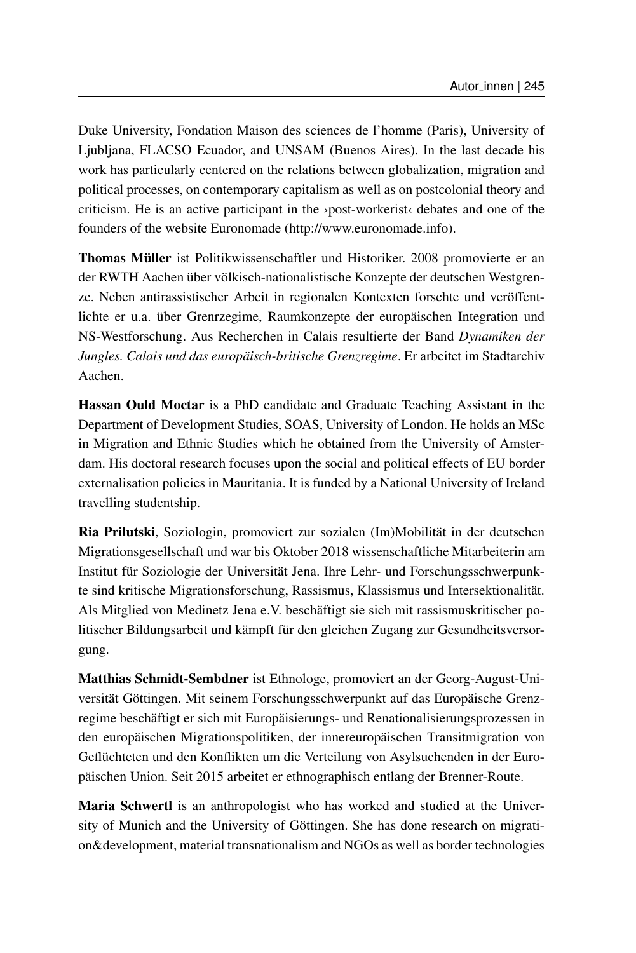Duke University, Fondation Maison des sciences de l'homme (Paris), University of Ljubljana, FLACSO Ecuador, and UNSAM (Buenos Aires). In the last decade his work has particularly centered on the relations between globalization, migration and political processes, on contemporary capitalism as well as on postcolonial theory and criticism. He is an active participant in the ›post-workerist‹ debates and one of the founders of the website Euronomade [\(http://www.euronomade.info\)](http://www.euronomade.info).

Thomas Müller ist Politikwissenschaftler und Historiker. 2008 promovierte er an der RWTH Aachen über völkisch-nationalistische Konzepte der deutschen Westgrenze. Neben antirassistischer Arbeit in regionalen Kontexten forschte und veröffentlichte er u.a. über Grenrzegime, Raumkonzepte der europäischen Integration und NS-Westforschung. Aus Recherchen in Calais resultierte der Band *Dynamiken der Jungles. Calais und das europäisch-britische Grenzregime*. Er arbeitet im Stadtarchiv Aachen.

Hassan Ould Moctar is a PhD candidate and Graduate Teaching Assistant in the Department of Development Studies, SOAS, University of London. He holds an MSc in Migration and Ethnic Studies which he obtained from the University of Amsterdam. His doctoral research focuses upon the social and political effects of EU border externalisation policies in Mauritania. It is funded by a National University of Ireland travelling studentship.

Ria Prilutski, Soziologin, promoviert zur sozialen (Im)Mobilität in der deutschen Migrationsgesellschaft und war bis Oktober 2018 wissenschaftliche Mitarbeiterin am Institut für Soziologie der Universität Jena. Ihre Lehr- und Forschungsschwerpunkte sind kritische Migrationsforschung, Rassismus, Klassismus und Intersektionalität. Als Mitglied von Medinetz Jena e.V. beschäftigt sie sich mit rassismuskritischer politischer Bildungsarbeit und kämpft für den gleichen Zugang zur Gesundheitsversorgung.

Matthias Schmidt-Sembdner ist Ethnologe, promoviert an der Georg-August-Universität Göttingen. Mit seinem Forschungsschwerpunkt auf das Europäische Grenzregime beschäftigt er sich mit Europäisierungs- und Renationalisierungsprozessen in den europäischen Migrationspolitiken, der innereuropäischen Transitmigration von Geflüchteten und den Konflikten um die Verteilung von Asylsuchenden in der Europäischen Union. Seit 2015 arbeitet er ethnographisch entlang der Brenner-Route.

Maria Schwertl is an anthropologist who has worked and studied at the University of Munich and the University of Göttingen. She has done research on migration&development, material transnationalism and NGOs as well as border technologies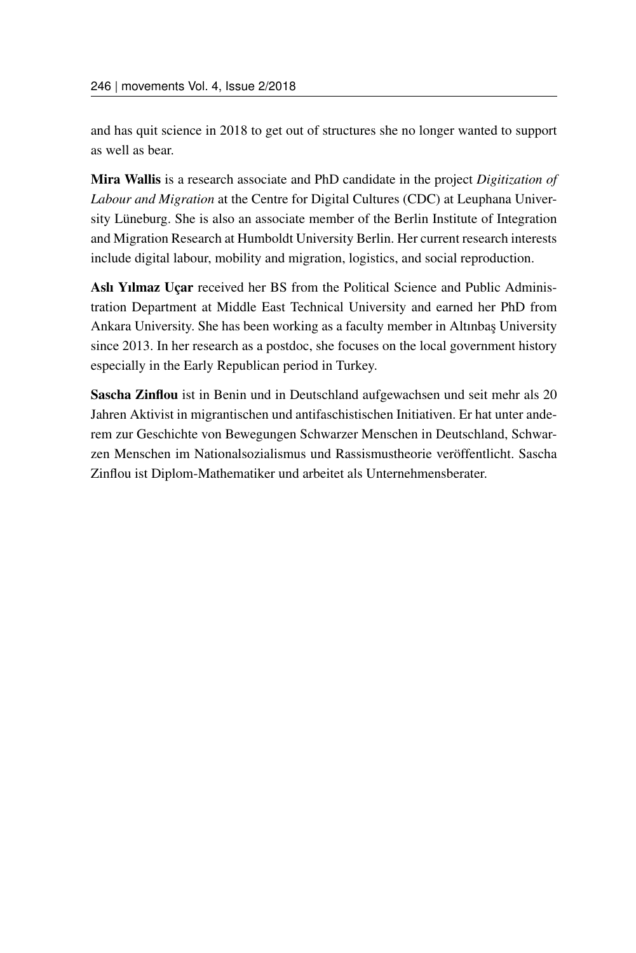and has quit science in 2018 to get out of structures she no longer wanted to support as well as bear.

Mira Wallis is a research associate and PhD candidate in the project *Digitization of Labour and Migration* at the Centre for Digital Cultures (CDC) at Leuphana University Lüneburg. She is also an associate member of the Berlin Institute of Integration and Migration Research at Humboldt University Berlin. Her current research interests include digital labour, mobility and migration, logistics, and social reproduction.

Aslı Yılmaz Uçar received her BS from the Political Science and Public Administration Department at Middle East Technical University and earned her PhD from Ankara University. She has been working as a faculty member in Altınbaş University since 2013. In her research as a postdoc, she focuses on the local government history especially in the Early Republican period in Turkey.

Sascha Zinflou ist in Benin und in Deutschland aufgewachsen und seit mehr als 20 Jahren Aktivist in migrantischen und antifaschistischen Initiativen. Er hat unter anderem zur Geschichte von Bewegungen Schwarzer Menschen in Deutschland, Schwarzen Menschen im Nationalsozialismus und Rassismustheorie veröffentlicht. Sascha Zinflou ist Diplom-Mathematiker und arbeitet als Unternehmensberater.